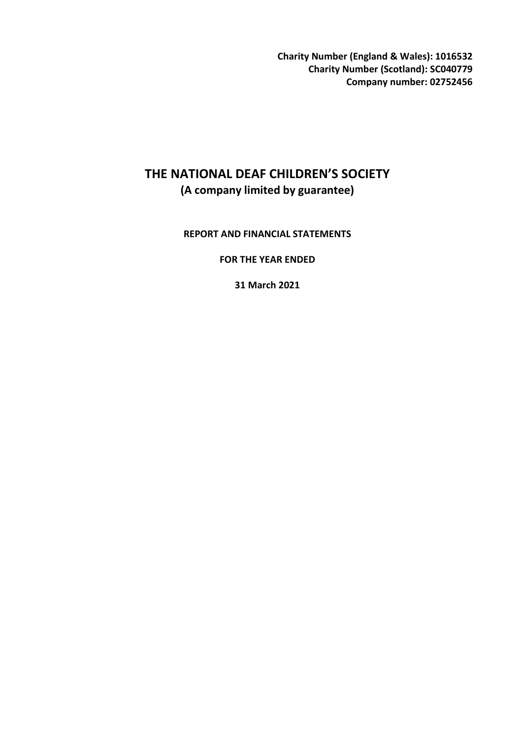**Charity Number (England & Wales): 1016532 Charity Number (Scotland): SC040779 Company number: 02752456** 

# **THE NATIONAL DEAF CHILDREN'S SOCIETY (A company limited by guarantee)**

### **REPORT AND FINANCIAL STATEMENTS**

**FOR THE YEAR ENDED** 

**31 March 2021**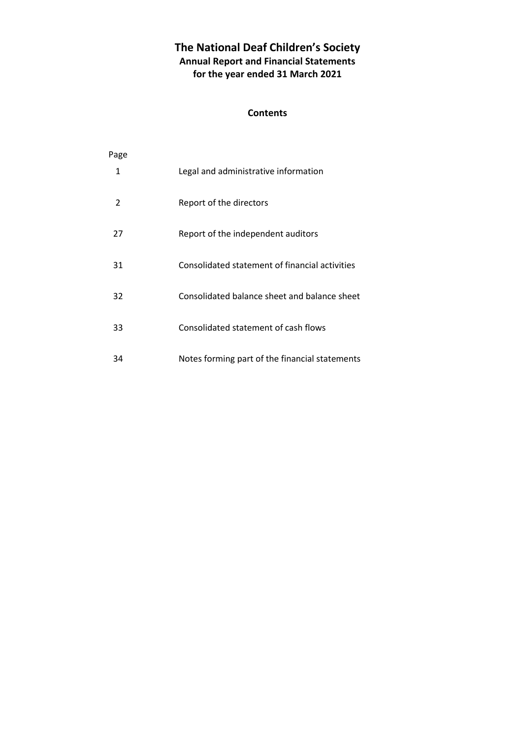# **The National Deaf Children's Society Annual Report and Financial Statements for the year ended 31 March 2021**

### **Contents**

| Page           |                                                |
|----------------|------------------------------------------------|
| 1              | Legal and administrative information           |
| $\mathfrak{p}$ | Report of the directors                        |
| 27             | Report of the independent auditors             |
| 31             | Consolidated statement of financial activities |
| 32             | Consolidated balance sheet and balance sheet   |
| 33             | Consolidated statement of cash flows           |
| 34             | Notes forming part of the financial statements |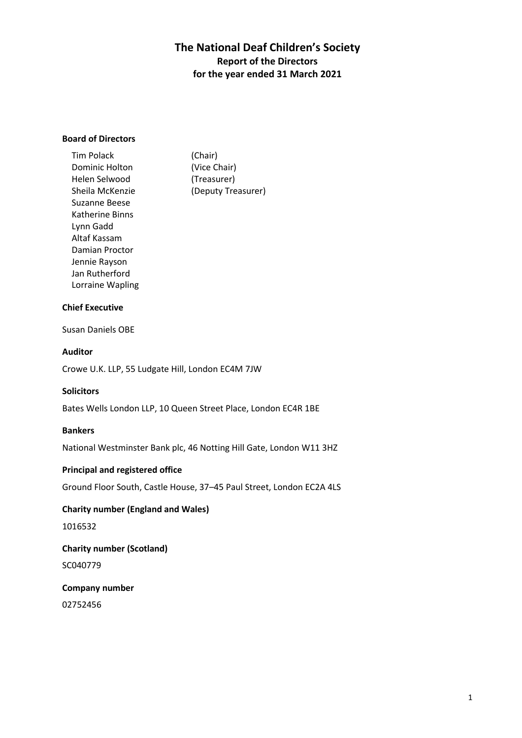### **Board of Directors**

| <b>Tim Polack</b> | (Chair)            |
|-------------------|--------------------|
| Dominic Holton    | (Vice Chair)       |
| Helen Selwood     | (Treasurer)        |
| Sheila McKenzie   | (Deputy Treasurer) |
| Suzanne Beese     |                    |
| Katherine Binns   |                    |
| Lynn Gadd         |                    |
| Altaf Kassam      |                    |
| Damian Proctor    |                    |
| Jennie Rayson     |                    |
| Jan Rutherford    |                    |
| Lorraine Wapling  |                    |

#### **Chief Executive**

Susan Daniels OBE

### **Auditor**

Crowe U.K. LLP, 55 Ludgate Hill, London EC4M 7JW

#### **Solicitors**

Bates Wells London LLP, 10 Queen Street Place, London EC4R 1BE

#### **Bankers**

National Westminster Bank plc, 46 Notting Hill Gate, London W11 3HZ

### **Principal and registered office**

Ground Floor South, Castle House, 37–45 Paul Street, London EC2A 4LS

### **Charity number (England and Wales)**

1016532

# **Charity number (Scotland)**  SC040779

**Company number**  02752456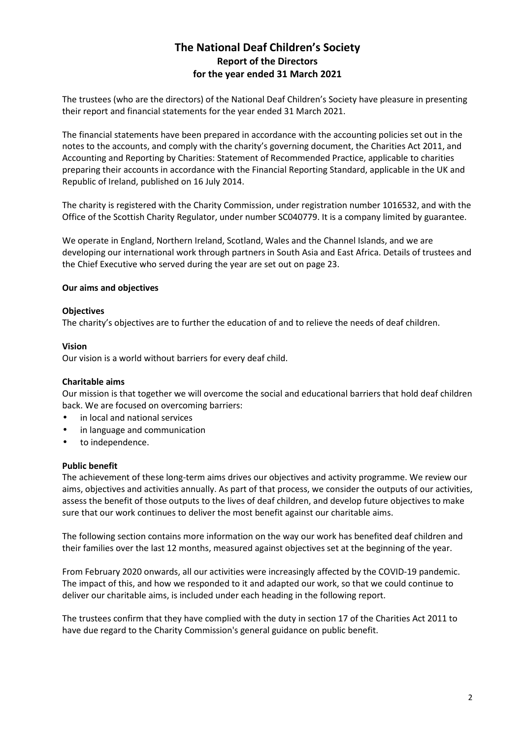The trustees (who are the directors) of the National Deaf Children's Society have pleasure in presenting their report and financial statements for the year ended 31 March 2021.

The financial statements have been prepared in accordance with the accounting policies set out in the notes to the accounts, and comply with the charity's governing document, the Charities Act 2011, and Accounting and Reporting by Charities: Statement of Recommended Practice, applicable to charities preparing their accounts in accordance with the Financial Reporting Standard, applicable in the UK and Republic of Ireland, published on 16 July 2014.

The charity is registered with the Charity Commission, under registration number 1016532, and with the Office of the Scottish Charity Regulator, under number SC040779. It is a company limited by guarantee.

We operate in England, Northern Ireland, Scotland, Wales and the Channel Islands, and we are developing our international work through partners in South Asia and East Africa. Details of trustees and the Chief Executive who served during the year are set out on page 23.

### **Our aims and objectives**

### **Objectives**

The charity's objectives are to further the education of and to relieve the needs of deaf children.

### **Vision**

Our vision is a world without barriers for every deaf child.

### **Charitable aims**

Our mission is that together we will overcome the social and educational barriers that hold deaf children back. We are focused on overcoming barriers:

- in local and national services
- in language and communication
- to independence.

### **Public benefit**

The achievement of these long-term aims drives our objectives and activity programme. We review our aims, objectives and activities annually. As part of that process, we consider the outputs of our activities, assess the benefit of those outputs to the lives of deaf children, and develop future objectives to make sure that our work continues to deliver the most benefit against our charitable aims.

The following section contains more information on the way our work has benefited deaf children and their families over the last 12 months, measured against objectives set at the beginning of the year.

From February 2020 onwards, all our activities were increasingly affected by the COVID-19 pandemic. The impact of this, and how we responded to it and adapted our work, so that we could continue to deliver our charitable aims, is included under each heading in the following report.

The trustees confirm that they have complied with the duty in section 17 of the Charities Act 2011 to have due regard to the Charity Commission's general guidance on public benefit.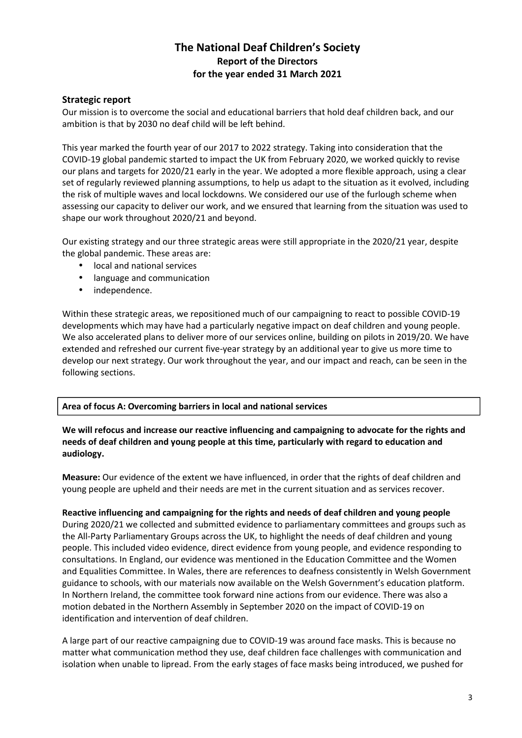### **Strategic report**

Our mission is to overcome the social and educational barriers that hold deaf children back, and our ambition is that by 2030 no deaf child will be left behind.

This year marked the fourth year of our 2017 to 2022 strategy. Taking into consideration that the COVID-19 global pandemic started to impact the UK from February 2020, we worked quickly to revise our plans and targets for 2020/21 early in the year. We adopted a more flexible approach, using a clear set of regularly reviewed planning assumptions, to help us adapt to the situation as it evolved, including the risk of multiple waves and local lockdowns. We considered our use of the furlough scheme when assessing our capacity to deliver our work, and we ensured that learning from the situation was used to shape our work throughout 2020/21 and beyond.

Our existing strategy and our three strategic areas were still appropriate in the 2020/21 year, despite the global pandemic. These areas are:

- local and national services
- language and communication
- independence.

Within these strategic areas, we repositioned much of our campaigning to react to possible COVID-19 developments which may have had a particularly negative impact on deaf children and young people. We also accelerated plans to deliver more of our services online, building on pilots in 2019/20. We have extended and refreshed our current five-year strategy by an additional year to give us more time to develop our next strategy. Our work throughout the year, and our impact and reach, can be seen in the following sections.

### **Area of focus A: Overcoming barriers in local and national services**

### **We will refocus and increase our reactive influencing and campaigning to advocate for the rights and needs of deaf children and young people at this time, particularly with regard to education and audiology.**

**Measure:** Our evidence of the extent we have influenced, in order that the rights of deaf children and young people are upheld and their needs are met in the current situation and as services recover.

**Reactive influencing and campaigning for the rights and needs of deaf children and young people**  During 2020/21 we collected and submitted evidence to parliamentary committees and groups such as the All-Party Parliamentary Groups across the UK, to highlight the needs of deaf children and young people. This included video evidence, direct evidence from young people, and evidence responding to consultations. In England, our evidence was mentioned in the Education Committee and the Women and Equalities Committee. In Wales, there are references to deafness consistently in Welsh Government guidance to schools, with our materials now available on the Welsh Government's education platform. In Northern Ireland, the committee took forward nine actions from our evidence. There was also a motion debated in the Northern Assembly in September 2020 on the impact of COVID-19 on identification and intervention of deaf children.

A large part of our reactive campaigning due to COVID-19 was around face masks. This is because no matter what communication method they use, deaf children face challenges with communication and isolation when unable to lipread. From the early stages of face masks being introduced, we pushed for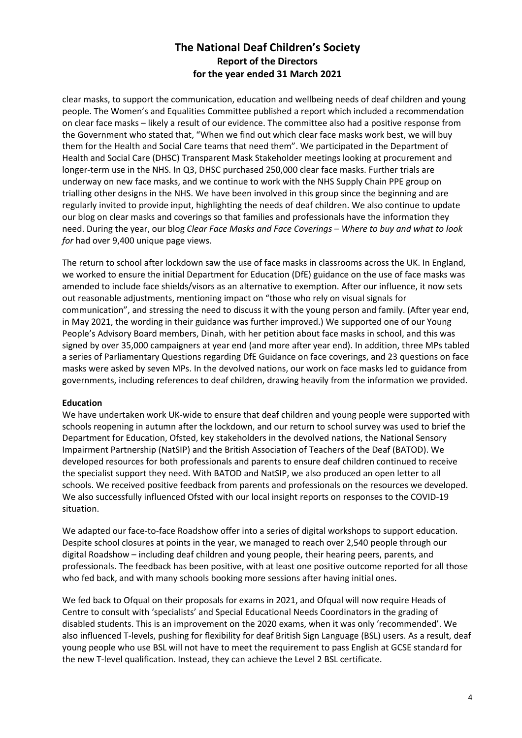clear masks, to support the communication, education and wellbeing needs of deaf children and young people. The Women's and Equalities Committee published a report which included a recommendation on clear face masks – likely a result of our evidence. The committee also had a positive response from the Government who stated that, "When we find out which clear face masks work best, we will buy them for the Health and Social Care teams that need them". We participated in the Department of Health and Social Care (DHSC) Transparent Mask Stakeholder meetings looking at procurement and longer-term use in the NHS. In Q3, DHSC purchased 250,000 clear face masks. Further trials are underway on new face masks, and we continue to work with the NHS Supply Chain PPE group on trialling other designs in the NHS. We have been involved in this group since the beginning and are regularly invited to provide input, highlighting the needs of deaf children. We also continue to update our blog on clear masks and coverings so that families and professionals have the information they need. During the year, our blog *Clear Face Masks and Face Coverings – Where to buy and what to look for* had over 9,400 unique page views.

The return to school after lockdown saw the use of face masks in classrooms across the UK. In England, we worked to ensure the initial Department for Education (DfE) guidance on the use of face masks was amended to include face shields/visors as an alternative to exemption. After our influence, it now sets out reasonable adjustments, mentioning impact on "those who rely on visual signals for communication", and stressing the need to discuss it with the young person and family. (After year end, in May 2021, the wording in their guidance was further improved.) We supported one of our Young People's Advisory Board members, Dinah, with her petition about face masks in school, and this was signed by over 35,000 campaigners at year end (and more after year end). In addition, three MPs tabled a series of Parliamentary Questions regarding DfE Guidance on face coverings, and 23 questions on face masks were asked by seven MPs. In the devolved nations, our work on face masks led to guidance from governments, including references to deaf children, drawing heavily from the information we provided.

### **Education**

We have undertaken work UK-wide to ensure that deaf children and young people were supported with schools reopening in autumn after the lockdown, and our return to school survey was used to brief the Department for Education, Ofsted, key stakeholders in the devolved nations, the National Sensory Impairment Partnership (NatSIP) and the British Association of Teachers of the Deaf (BATOD). We developed resources for both professionals and parents to ensure deaf children continued to receive the specialist support they need. With BATOD and NatSIP, we also produced an open letter to all schools. We received positive feedback from parents and professionals on the resources we developed. We also successfully influenced Ofsted with our local insight reports on responses to the COVID-19 situation.

We adapted our face-to-face Roadshow offer into a series of digital workshops to support education. Despite school closures at points in the year, we managed to reach over 2,540 people through our digital Roadshow – including deaf children and young people, their hearing peers, parents, and professionals. The feedback has been positive, with at least one positive outcome reported for all those who fed back, and with many schools booking more sessions after having initial ones.

We fed back to Ofqual on their proposals for exams in 2021, and Ofqual will now require Heads of Centre to consult with 'specialists' and Special Educational Needs Coordinators in the grading of disabled students. This is an improvement on the 2020 exams, when it was only 'recommended'. We also influenced T-levels, pushing for flexibility for deaf British Sign Language (BSL) users. As a result, deaf young people who use BSL will not have to meet the requirement to pass English at GCSE standard for the new T-level qualification. Instead, they can achieve the Level 2 BSL certificate.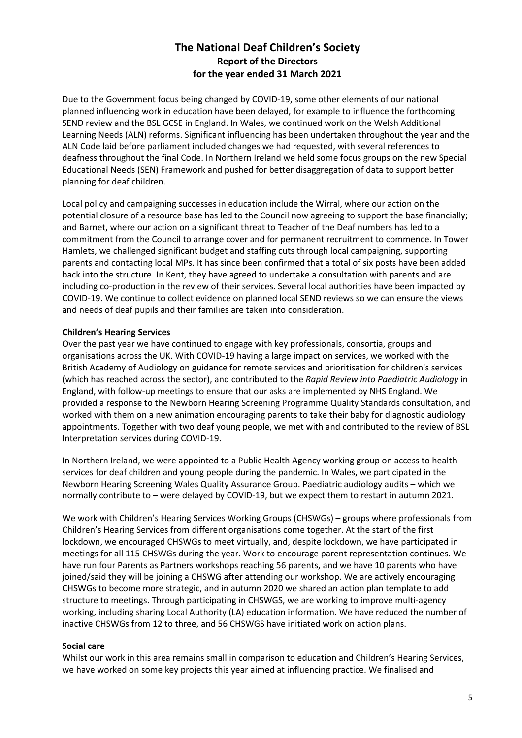Due to the Government focus being changed by COVID-19, some other elements of our national planned influencing work in education have been delayed, for example to influence the forthcoming SEND review and the BSL GCSE in England. In Wales, we continued work on the Welsh Additional Learning Needs (ALN) reforms. Significant influencing has been undertaken throughout the year and the ALN Code laid before parliament included changes we had requested, with several references to deafness throughout the final Code. In Northern Ireland we held some focus groups on the new Special Educational Needs (SEN) Framework and pushed for better disaggregation of data to support better planning for deaf children.

Local policy and campaigning successes in education include the Wirral, where our action on the potential closure of a resource base has led to the Council now agreeing to support the base financially; and Barnet, where our action on a significant threat to Teacher of the Deaf numbers has led to a commitment from the Council to arrange cover and for permanent recruitment to commence. In Tower Hamlets, we challenged significant budget and staffing cuts through local campaigning, supporting parents and contacting local MPs. It has since been confirmed that a total of six posts have been added back into the structure. In Kent, they have agreed to undertake a consultation with parents and are including co-production in the review of their services. Several local authorities have been impacted by COVID-19. We continue to collect evidence on planned local SEND reviews so we can ensure the views and needs of deaf pupils and their families are taken into consideration.

### **Children's Hearing Services**

Over the past year we have continued to engage with key professionals, consortia, groups and organisations across the UK. With COVID-19 having a large impact on services, we worked with the British Academy of Audiology on guidance for remote services and prioritisation for children's services (which has reached across the sector), and contributed to the *Rapid Review into Paediatric Audiology* in England, with follow-up meetings to ensure that our asks are implemented by NHS England. We provided a response to the Newborn Hearing Screening Programme Quality Standards consultation, and worked with them on a new animation encouraging parents to take their baby for diagnostic audiology appointments. Together with two deaf young people, we met with and contributed to the review of BSL Interpretation services during COVID-19.

In Northern Ireland, we were appointed to a Public Health Agency working group on access to health services for deaf children and young people during the pandemic. In Wales, we participated in the Newborn Hearing Screening Wales Quality Assurance Group. Paediatric audiology audits – which we normally contribute to – were delayed by COVID-19, but we expect them to restart in autumn 2021.

We work with Children's Hearing Services Working Groups (CHSWGs) – groups where professionals from Children's Hearing Services from different organisations come together. At the start of the first lockdown, we encouraged CHSWGs to meet virtually, and, despite lockdown, we have participated in meetings for all 115 CHSWGs during the year. Work to encourage parent representation continues. We have run four Parents as Partners workshops reaching 56 parents, and we have 10 parents who have joined/said they will be joining a CHSWG after attending our workshop. We are actively encouraging CHSWGs to become more strategic, and in autumn 2020 we shared an action plan template to add structure to meetings. Through participating in CHSWGS, we are working to improve multi-agency working, including sharing Local Authority (LA) education information. We have reduced the number of inactive CHSWGs from 12 to three, and 56 CHSWGS have initiated work on action plans.

### **Social care**

Whilst our work in this area remains small in comparison to education and Children's Hearing Services, we have worked on some key projects this year aimed at influencing practice. We finalised and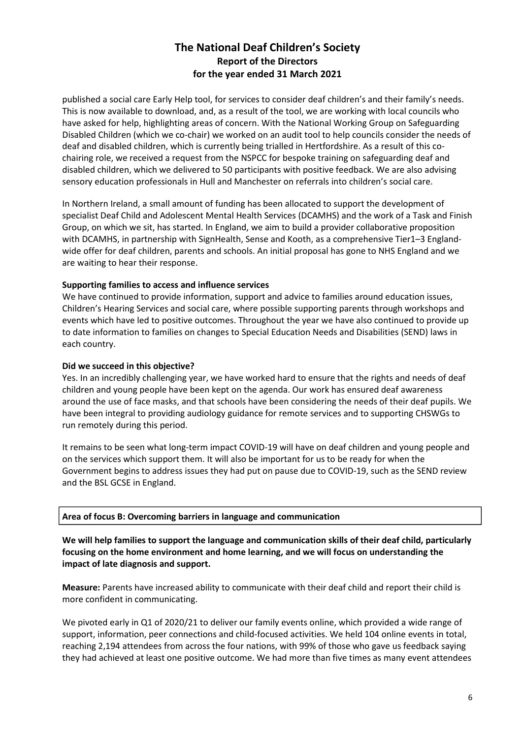published a social care Early Help tool, for services to consider deaf children's and their family's needs. This is now available to download, and, as a result of the tool, we are working with local councils who have asked for help, highlighting areas of concern. With the National Working Group on Safeguarding Disabled Children (which we co-chair) we worked on an audit tool to help councils consider the needs of deaf and disabled children, which is currently being trialled in Hertfordshire. As a result of this cochairing role, we received a request from the NSPCC for bespoke training on safeguarding deaf and disabled children, which we delivered to 50 participants with positive feedback. We are also advising sensory education professionals in Hull and Manchester on referrals into children's social care.

In Northern Ireland, a small amount of funding has been allocated to support the development of specialist Deaf Child and Adolescent Mental Health Services (DCAMHS) and the work of a Task and Finish Group, on which we sit, has started. In England, we aim to build a provider collaborative proposition with DCAMHS, in partnership with SignHealth, Sense and Kooth, as a comprehensive Tier1-3 Englandwide offer for deaf children, parents and schools. An initial proposal has gone to NHS England and we are waiting to hear their response.

### **Supporting families to access and influence services**

We have continued to provide information, support and advice to families around education issues, Children's Hearing Services and social care, where possible supporting parents through workshops and events which have led to positive outcomes. Throughout the year we have also continued to provide up to date information to families on changes to Special Education Needs and Disabilities (SEND) laws in each country.

### **Did we succeed in this objective?**

Yes. In an incredibly challenging year, we have worked hard to ensure that the rights and needs of deaf children and young people have been kept on the agenda. Our work has ensured deaf awareness around the use of face masks, and that schools have been considering the needs of their deaf pupils. We have been integral to providing audiology guidance for remote services and to supporting CHSWGs to run remotely during this period.

It remains to be seen what long-term impact COVID-19 will have on deaf children and young people and on the services which support them. It will also be important for us to be ready for when the Government begins to address issues they had put on pause due to COVID-19, such as the SEND review and the BSL GCSE in England.

### **Area of focus B: Overcoming barriers in language and communication**

**We will help families to support the language and communication skills of their deaf child, particularly focusing on the home environment and home learning, and we will focus on understanding the impact of late diagnosis and support.** 

**Measure:** Parents have increased ability to communicate with their deaf child and report their child is more confident in communicating.

We pivoted early in Q1 of 2020/21 to deliver our family events online, which provided a wide range of support, information, peer connections and child-focused activities. We held 104 online events in total, reaching 2,194 attendees from across the four nations, with 99% of those who gave us feedback saying they had achieved at least one positive outcome. We had more than five times as many event attendees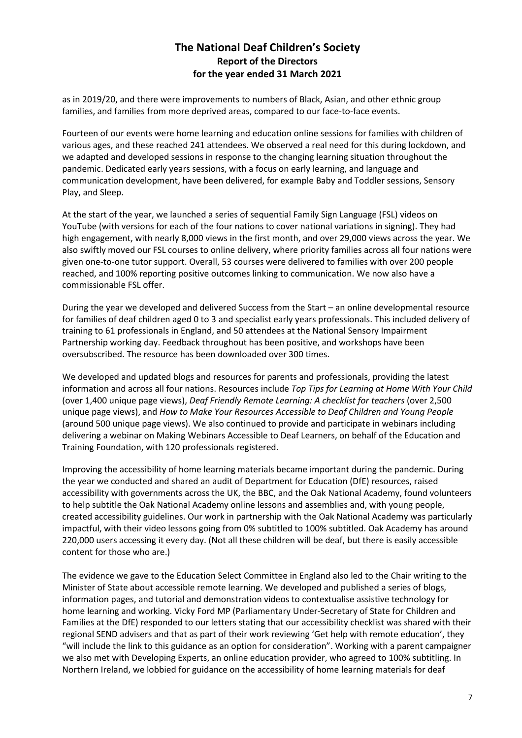as in 2019/20, and there were improvements to numbers of Black, Asian, and other ethnic group families, and families from more deprived areas, compared to our face-to-face events.

Fourteen of our events were home learning and education online sessions for families with children of various ages, and these reached 241 attendees. We observed a real need for this during lockdown, and we adapted and developed sessions in response to the changing learning situation throughout the pandemic. Dedicated early years sessions, with a focus on early learning, and language and communication development, have been delivered, for example Baby and Toddler sessions, Sensory Play, and Sleep.

At the start of the year, we launched a series of sequential Family Sign Language (FSL) videos on YouTube (with versions for each of the four nations to cover national variations in signing). They had high engagement, with nearly 8,000 views in the first month, and over 29,000 views across the year. We also swiftly moved our FSL courses to online delivery, where priority families across all four nations were given one-to-one tutor support. Overall, 53 courses were delivered to families with over 200 people reached, and 100% reporting positive outcomes linking to communication. We now also have a commissionable FSL offer.

During the year we developed and delivered Success from the Start – an online developmental resource for families of deaf children aged 0 to 3 and specialist early years professionals. This included delivery of training to 61 professionals in England, and 50 attendees at the National Sensory Impairment Partnership working day. Feedback throughout has been positive, and workshops have been oversubscribed. The resource has been downloaded over 300 times.

We developed and updated blogs and resources for parents and professionals, providing the latest information and across all four nations. Resources include *Top Tips for Learning at Home With Your Child*  (over 1,400 unique page views), *Deaf Friendly Remote Learning: A checklist for teachers* (over 2,500 unique page views), and *How to Make Your Resources Accessible to Deaf Children and Young People*  (around 500 unique page views). We also continued to provide and participate in webinars including delivering a webinar on Making Webinars Accessible to Deaf Learners, on behalf of the Education and Training Foundation, with 120 professionals registered.

Improving the accessibility of home learning materials became important during the pandemic. During the year we conducted and shared an audit of Department for Education (DfE) resources, raised accessibility with governments across the UK, the BBC, and the Oak National Academy, found volunteers to help subtitle the Oak National Academy online lessons and assemblies and, with young people, created accessibility guidelines. Our work in partnership with the Oak National Academy was particularly impactful, with their video lessons going from 0% subtitled to 100% subtitled. Oak Academy has around 220,000 users accessing it every day. (Not all these children will be deaf, but there is easily accessible content for those who are.)

The evidence we gave to the Education Select Committee in England also led to the Chair writing to the Minister of State about accessible remote learning. We developed and published a series of blogs, information pages, and tutorial and demonstration videos to contextualise assistive technology for home learning and working. Vicky Ford MP (Parliamentary Under-Secretary of State for Children and Families at the DfE) responded to our letters stating that our accessibility checklist was shared with their regional SEND advisers and that as part of their work reviewing 'Get help with remote education', they "will include the link to this guidance as an option for consideration". Working with a parent campaigner we also met with Developing Experts, an online education provider, who agreed to 100% subtitling. In Northern Ireland, we lobbied for guidance on the accessibility of home learning materials for deaf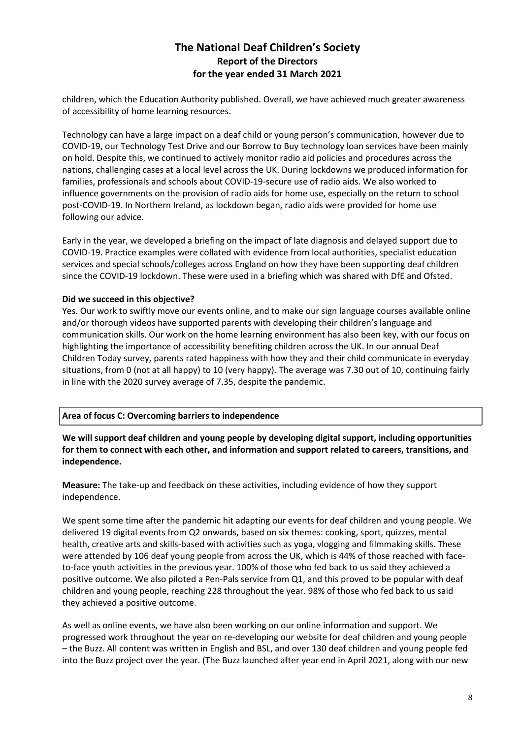children, which the Education Authority published. Overall, we have achieved much greater awareness of accessibility of home learning resources.

Technology can have a large impact on a deaf child or young person's communication, however due to COVID-19, our Technology Test Drive and our Borrow to Buy technology loan services have been mainly on hold. Despite this, we continued to actively monitor radio aid policies and procedures across the nations, challenging cases at a local level across the UK. During lockdowns we produced information for families, professionals and schools about COVID-19-secure use of radio aids. We also worked to influence governments on the provision of radio aids for home use, especially on the return to school post-COVID-19. In Northern Ireland, as lockdown began, radio aids were provided for home use following our advice.

Early in the year, we developed a briefing on the impact of late diagnosis and delayed support due to COVID-19. Practice examples were collated with evidence from local authorities, specialist education services and special schools/colleges across England on how they have been supporting deaf children since the COVID-19 lockdown. These were used in a briefing which was shared with DfE and Ofsted.

### **Did we succeed in this objective?**

Yes. Our work to swiftly move our events online, and to make our sign language courses available online and/or thorough videos have supported parents with developing their children's language and communication skills. Our work on the home learning environment has also been key, with our focus on highlighting the importance of accessibility benefiting children across the UK. In our annual Deaf Children Today survey, parents rated happiness with how they and their child communicate in everyday situations, from 0 (not at all happy) to 10 (very happy). The average was 7.30 out of 10, continuing fairly in line with the 2020 survey average of 7.35, despite the pandemic.

### **Area of focus C: Overcoming barriers to independence**

**We will support deaf children and young people by developing digital support, including opportunities for them to connect with each other, and information and support related to careers, transitions, and independence.** 

**Measure:** The take-up and feedback on these activities, including evidence of how they support independence.

We spent some time after the pandemic hit adapting our events for deaf children and young people. We delivered 19 digital events from Q2 onwards, based on six themes: cooking, sport, quizzes, mental health, creative arts and skills-based with activities such as yoga, vlogging and filmmaking skills. These were attended by 106 deaf young people from across the UK, which is 44% of those reached with faceto-face youth activities in the previous year. 100% of those who fed back to us said they achieved a positive outcome. We also piloted a Pen-Pals service from Q1, and this proved to be popular with deaf children and young people, reaching 228 throughout the year. 98% of those who fed back to us said they achieved a positive outcome.

As well as online events, we have also been working on our online information and support. We progressed work throughout the year on re-developing our website for deaf children and young people – the Buzz. All content was written in English and BSL, and over 130 deaf children and young people fed into the Buzz project over the year. (The Buzz launched after year end in April 2021, along with our new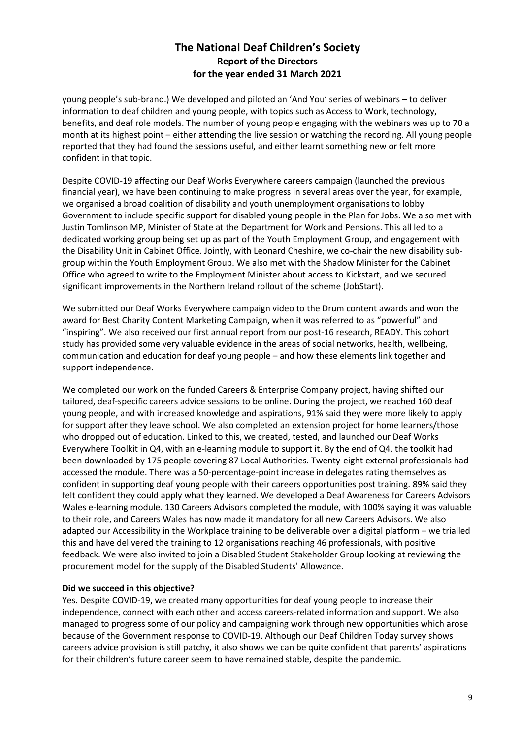young people's sub-brand.) We developed and piloted an 'And You' series of webinars – to deliver information to deaf children and young people, with topics such as Access to Work, technology, benefits, and deaf role models. The number of young people engaging with the webinars was up to 70 a month at its highest point – either attending the live session or watching the recording. All young people reported that they had found the sessions useful, and either learnt something new or felt more confident in that topic.

Despite COVID-19 affecting our Deaf Works Everywhere careers campaign (launched the previous financial year), we have been continuing to make progress in several areas over the year, for example, we organised a broad coalition of disability and youth unemployment organisations to lobby Government to include specific support for disabled young people in the Plan for Jobs. We also met with Justin Tomlinson MP, Minister of State at the Department for Work and Pensions. This all led to a dedicated working group being set up as part of the Youth Employment Group, and engagement with the Disability Unit in Cabinet Office. Jointly, with Leonard Cheshire, we co-chair the new disability subgroup within the Youth Employment Group. We also met with the Shadow Minister for the Cabinet Office who agreed to write to the Employment Minister about access to Kickstart, and we secured significant improvements in the Northern Ireland rollout of the scheme (JobStart).

We submitted our Deaf Works Everywhere campaign video to the Drum content awards and won the award for Best Charity Content Marketing Campaign, when it was referred to as "powerful" and "inspiring". We also received our first annual report from our post-16 research, READY. This cohort study has provided some very valuable evidence in the areas of social networks, health, wellbeing, communication and education for deaf young people – and how these elements link together and support independence.

We completed our work on the funded Careers & Enterprise Company project, having shifted our tailored, deaf-specific careers advice sessions to be online. During the project, we reached 160 deaf young people, and with increased knowledge and aspirations, 91% said they were more likely to apply for support after they leave school. We also completed an extension project for home learners/those who dropped out of education. Linked to this, we created, tested, and launched our Deaf Works Everywhere Toolkit in Q4, with an e-learning module to support it. By the end of Q4, the toolkit had been downloaded by 175 people covering 87 Local Authorities. Twenty-eight external professionals had accessed the module. There was a 50-percentage-point increase in delegates rating themselves as confident in supporting deaf young people with their careers opportunities post training. 89% said they felt confident they could apply what they learned. We developed a Deaf Awareness for Careers Advisors Wales e-learning module. 130 Careers Advisors completed the module, with 100% saying it was valuable to their role, and Careers Wales has now made it mandatory for all new Careers Advisors. We also adapted our Accessibility in the Workplace training to be deliverable over a digital platform – we trialled this and have delivered the training to 12 organisations reaching 46 professionals, with positive feedback. We were also invited to join a Disabled Student Stakeholder Group looking at reviewing the procurement model for the supply of the Disabled Students' Allowance.

### **Did we succeed in this objective?**

Yes. Despite COVID-19, we created many opportunities for deaf young people to increase their independence, connect with each other and access careers-related information and support. We also managed to progress some of our policy and campaigning work through new opportunities which arose because of the Government response to COVID-19. Although our Deaf Children Today survey shows careers advice provision is still patchy, it also shows we can be quite confident that parents' aspirations for their children's future career seem to have remained stable, despite the pandemic.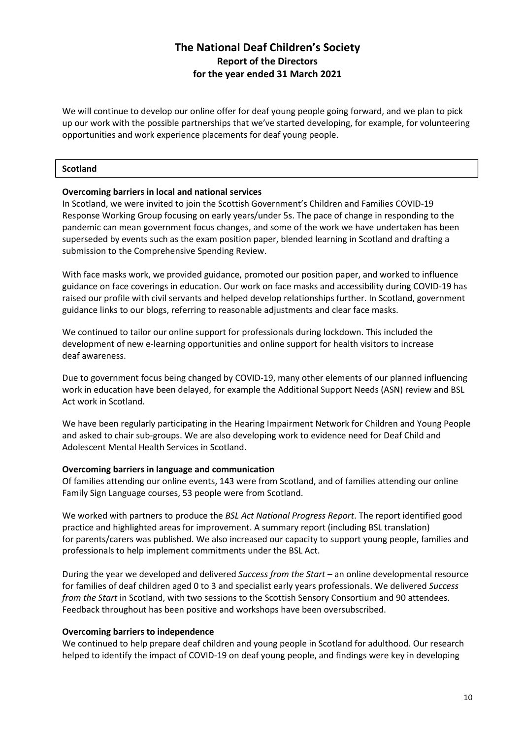We will continue to develop our online offer for deaf young people going forward, and we plan to pick up our work with the possible partnerships that we've started developing, for example, for volunteering opportunities and work experience placements for deaf young people.

### **Scotland**

### **Overcoming barriers in local and national services**

In Scotland, we were invited to join the Scottish Government's Children and Families COVID-19 Response Working Group focusing on early years/under 5s. The pace of change in responding to the pandemic can mean government focus changes, and some of the work we have undertaken has been superseded by events such as the exam position paper, blended learning in Scotland and drafting a submission to the Comprehensive Spending Review.

With face masks work, we provided guidance, promoted our position paper, and worked to influence guidance on face coverings in education. Our work on face masks and accessibility during COVID-19 has raised our profile with civil servants and helped develop relationships further. In Scotland, government guidance links to our blogs, referring to reasonable adjustments and clear face masks.

We continued to tailor our online support for professionals during lockdown. This included the development of new e-learning opportunities and online support for health visitors to increase deaf awareness.

Due to government focus being changed by COVID-19, many other elements of our planned influencing work in education have been delayed, for example the Additional Support Needs (ASN) review and BSL Act work in Scotland.

We have been regularly participating in the Hearing Impairment Network for Children and Young People and asked to chair sub-groups. We are also developing work to evidence need for Deaf Child and Adolescent Mental Health Services in Scotland.

#### **Overcoming barriers in language and communication**

Of families attending our online events, 143 were from Scotland, and of families attending our online Family Sign Language courses, 53 people were from Scotland.

We worked with partners to produce the *BSL Act National Progress Report*. The report identified good practice and highlighted areas for improvement. A summary report (including BSL translation) for parents/carers was published. We also increased our capacity to support young people, families and professionals to help implement commitments under the BSL Act.

During the year we developed and delivered *Success from the Start* – an online developmental resource for families of deaf children aged 0 to 3 and specialist early years professionals. We delivered *Success from the Start* in Scotland, with two sessions to the Scottish Sensory Consortium and 90 attendees. Feedback throughout has been positive and workshops have been oversubscribed.

#### **Overcoming barriers to independence**

We continued to help prepare deaf children and young people in Scotland for adulthood. Our research helped to identify the impact of COVID-19 on deaf young people, and findings were key in developing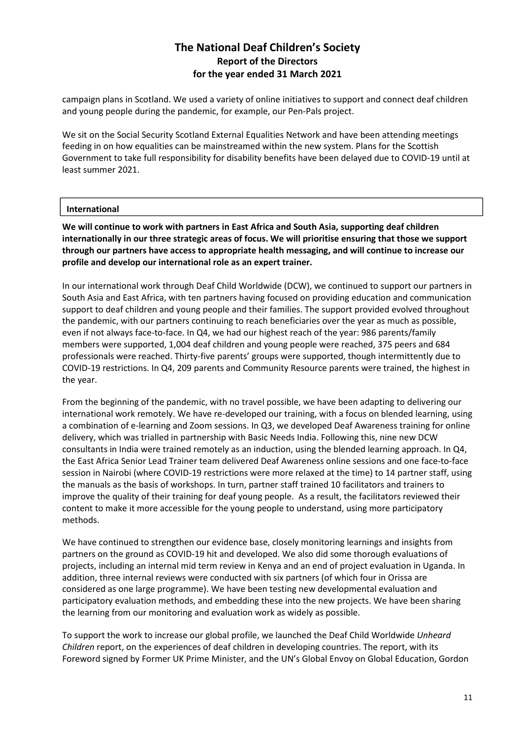campaign plans in Scotland. We used a variety of online initiatives to support and connect deaf children and young people during the pandemic, for example, our Pen-Pals project.

We sit on the Social Security Scotland External Equalities Network and have been attending meetings feeding in on how equalities can be mainstreamed within the new system. Plans for the Scottish Government to take full responsibility for disability benefits have been delayed due to COVID-19 until at least summer 2021.

### **International**

**We will continue to work with partners in East Africa and South Asia, supporting deaf children internationally in our three strategic areas of focus. We will prioritise ensuring that those we support through our partners have access to appropriate health messaging, and will continue to increase our profile and develop our international role as an expert trainer.** 

In our international work through Deaf Child Worldwide (DCW), we continued to support our partners in South Asia and East Africa, with ten partners having focused on providing education and communication support to deaf children and young people and their families. The support provided evolved throughout the pandemic, with our partners continuing to reach beneficiaries over the year as much as possible, even if not always face-to-face. In Q4, we had our highest reach of the year: 986 parents/family members were supported, 1,004 deaf children and young people were reached, 375 peers and 684 professionals were reached. Thirty-five parents' groups were supported, though intermittently due to COVID-19 restrictions. In Q4, 209 parents and Community Resource parents were trained, the highest in the year.

From the beginning of the pandemic, with no travel possible, we have been adapting to delivering our international work remotely. We have re-developed our training, with a focus on blended learning, using a combination of e-learning and Zoom sessions. In Q3, we developed Deaf Awareness training for online delivery, which was trialled in partnership with Basic Needs India. Following this, nine new DCW consultants in India were trained remotely as an induction, using the blended learning approach. In Q4, the East Africa Senior Lead Trainer team delivered Deaf Awareness online sessions and one face-to-face session in Nairobi (where COVID-19 restrictions were more relaxed at the time) to 14 partner staff, using the manuals as the basis of workshops. In turn, partner staff trained 10 facilitators and trainers to improve the quality of their training for deaf young people. As a result, the facilitators reviewed their content to make it more accessible for the young people to understand, using more participatory methods.

We have continued to strengthen our evidence base, closely monitoring learnings and insights from partners on the ground as COVID-19 hit and developed. We also did some thorough evaluations of projects, including an internal mid term review in Kenya and an end of project evaluation in Uganda. In addition, three internal reviews were conducted with six partners (of which four in Orissa are considered as one large programme). We have been testing new developmental evaluation and participatory evaluation methods, and embedding these into the new projects. We have been sharing the learning from our monitoring and evaluation work as widely as possible.

To support the work to increase our global profile, we launched the Deaf Child Worldwide *Unheard Children* report, on the experiences of deaf children in developing countries. The report, with its Foreword signed by Former UK Prime Minister, and the UN's Global Envoy on Global Education, Gordon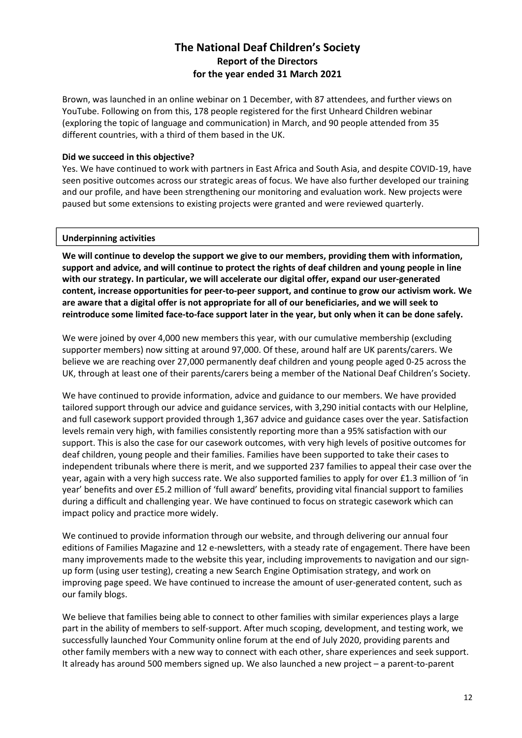Brown, was launched in an online webinar on 1 December, with 87 attendees, and further views on YouTube. Following on from this, 178 people registered for the first Unheard Children webinar (exploring the topic of language and communication) in March, and 90 people attended from 35 different countries, with a third of them based in the UK.

### **Did we succeed in this objective?**

Yes. We have continued to work with partners in East Africa and South Asia, and despite COVID-19, have seen positive outcomes across our strategic areas of focus. We have also further developed our training and our profile, and have been strengthening our monitoring and evaluation work. New projects were paused but some extensions to existing projects were granted and were reviewed quarterly.

#### **Underpinning activities**

**We will continue to develop the support we give to our members, providing them with information, support and advice, and will continue to protect the rights of deaf children and young people in line with our strategy. In particular, we will accelerate our digital offer, expand our user-generated content, increase opportunities for peer-to-peer support, and continue to grow our activism work. We are aware that a digital offer is not appropriate for all of our beneficiaries, and we will seek to reintroduce some limited face-to-face support later in the year, but only when it can be done safely.** 

We were joined by over 4,000 new members this year, with our cumulative membership (excluding supporter members) now sitting at around 97,000. Of these, around half are UK parents/carers. We believe we are reaching over 27,000 permanently deaf children and young people aged 0-25 across the UK, through at least one of their parents/carers being a member of the National Deaf Children's Society.

We have continued to provide information, advice and guidance to our members. We have provided tailored support through our advice and guidance services, with 3,290 initial contacts with our Helpline, and full casework support provided through 1,367 advice and guidance cases over the year. Satisfaction levels remain very high, with families consistently reporting more than a 95% satisfaction with our support. This is also the case for our casework outcomes, with very high levels of positive outcomes for deaf children, young people and their families. Families have been supported to take their cases to independent tribunals where there is merit, and we supported 237 families to appeal their case over the year, again with a very high success rate. We also supported families to apply for over £1.3 million of 'in year' benefits and over £5.2 million of 'full award' benefits, providing vital financial support to families during a difficult and challenging year. We have continued to focus on strategic casework which can impact policy and practice more widely.

We continued to provide information through our website, and through delivering our annual four editions of Families Magazine and 12 e-newsletters, with a steady rate of engagement. There have been many improvements made to the website this year, including improvements to navigation and our signup form (using user testing), creating a new Search Engine Optimisation strategy, and work on improving page speed. We have continued to increase the amount of user-generated content, such as our family blogs.

We believe that families being able to connect to other families with similar experiences plays a large part in the ability of members to self-support. After much scoping, development, and testing work, we successfully launched Your Community online forum at the end of July 2020, providing parents and other family members with a new way to connect with each other, share experiences and seek support. It already has around 500 members signed up. We also launched a new project – a parent-to-parent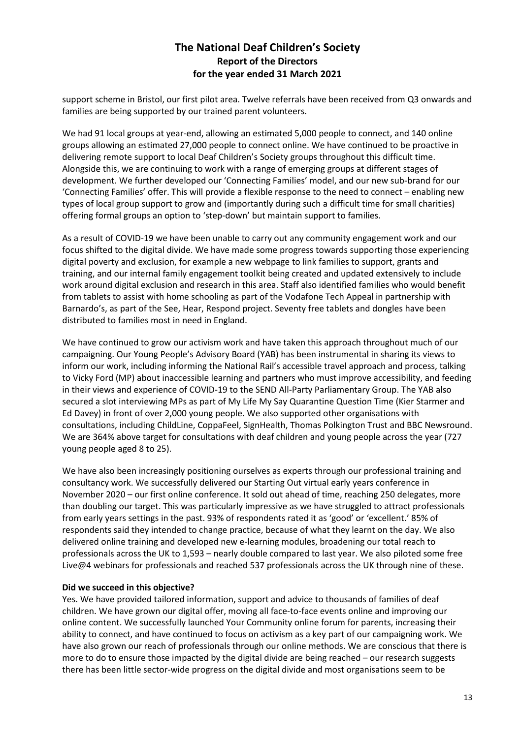support scheme in Bristol, our first pilot area. Twelve referrals have been received from Q3 onwards and families are being supported by our trained parent volunteers.

We had 91 local groups at year-end, allowing an estimated 5,000 people to connect, and 140 online groups allowing an estimated 27,000 people to connect online. We have continued to be proactive in delivering remote support to local Deaf Children's Society groups throughout this difficult time. Alongside this, we are continuing to work with a range of emerging groups at different stages of development. We further developed our 'Connecting Families' model, and our new sub-brand for our 'Connecting Families' offer. This will provide a flexible response to the need to connect – enabling new types of local group support to grow and (importantly during such a difficult time for small charities) offering formal groups an option to 'step-down' but maintain support to families.

As a result of COVID-19 we have been unable to carry out any community engagement work and our focus shifted to the digital divide. We have made some progress towards supporting those experiencing digital poverty and exclusion, for example a new webpage to link families to support, grants and training, and our internal family engagement toolkit being created and updated extensively to include work around digital exclusion and research in this area. Staff also identified families who would benefit from tablets to assist with home schooling as part of the Vodafone Tech Appeal in partnership with Barnardo's, as part of the See, Hear, Respond project. Seventy free tablets and dongles have been distributed to families most in need in England.

We have continued to grow our activism work and have taken this approach throughout much of our campaigning. Our Young People's Advisory Board (YAB) has been instrumental in sharing its views to inform our work, including informing the National Rail's accessible travel approach and process, talking to Vicky Ford (MP) about inaccessible learning and partners who must improve accessibility, and feeding in their views and experience of COVID-19 to the SEND All-Party Parliamentary Group. The YAB also secured a slot interviewing MPs as part of My Life My Say Quarantine Question Time (Kier Starmer and Ed Davey) in front of over 2,000 young people. We also supported other organisations with consultations, including ChildLine, CoppaFeel, SignHealth, Thomas Polkington Trust and BBC Newsround. We are 364% above target for consultations with deaf children and young people across the year (727 young people aged 8 to 25).

We have also been increasingly positioning ourselves as experts through our professional training and consultancy work. We successfully delivered our Starting Out virtual early years conference in November 2020 – our first online conference. It sold out ahead of time, reaching 250 delegates, more than doubling our target. This was particularly impressive as we have struggled to attract professionals from early years settings in the past. 93% of respondents rated it as 'good' or 'excellent.' 85% of respondents said they intended to change practice, because of what they learnt on the day. We also delivered online training and developed new e-learning modules, broadening our total reach to professionals across the UK to 1,593 – nearly double compared to last year. We also piloted some free Live@4 webinars for professionals and reached 537 professionals across the UK through nine of these.

### **Did we succeed in this objective?**

Yes. We have provided tailored information, support and advice to thousands of families of deaf children. We have grown our digital offer, moving all face-to-face events online and improving our online content. We successfully launched Your Community online forum for parents, increasing their ability to connect, and have continued to focus on activism as a key part of our campaigning work. We have also grown our reach of professionals through our online methods. We are conscious that there is more to do to ensure those impacted by the digital divide are being reached – our research suggests there has been little sector-wide progress on the digital divide and most organisations seem to be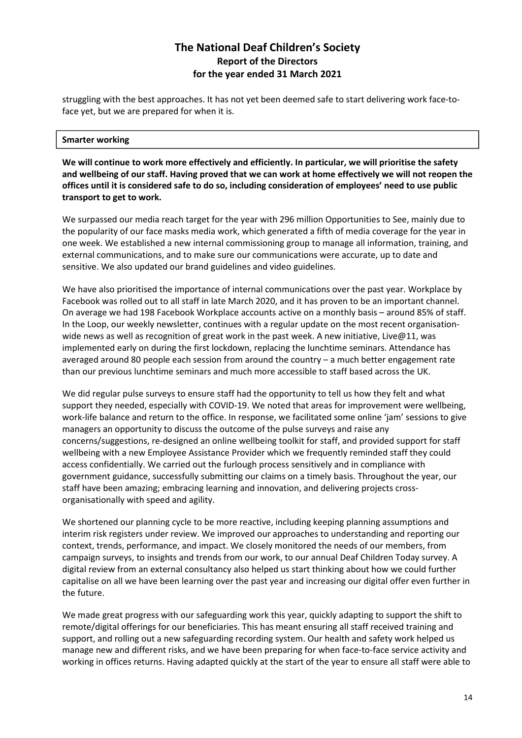struggling with the best approaches. It has not yet been deemed safe to start delivering work face-toface yet, but we are prepared for when it is.

### **Smarter working**

**We will continue to work more effectively and efficiently. In particular, we will prioritise the safety and wellbeing of our staff. Having proved that we can work at home effectively we will not reopen the offices until it is considered safe to do so, including consideration of employees' need to use public transport to get to work.** 

We surpassed our media reach target for the year with 296 million Opportunities to See, mainly due to the popularity of our face masks media work, which generated a fifth of media coverage for the year in one week. We established a new internal commissioning group to manage all information, training, and external communications, and to make sure our communications were accurate, up to date and sensitive. We also updated our brand guidelines and video guidelines.

We have also prioritised the importance of internal communications over the past year. Workplace by Facebook was rolled out to all staff in late March 2020, and it has proven to be an important channel. On average we had 198 Facebook Workplace accounts active on a monthly basis – around 85% of staff. In the Loop, our weekly newsletter, continues with a regular update on the most recent organisationwide news as well as recognition of great work in the past week. A new initiative, Live@11, was implemented early on during the first lockdown, replacing the lunchtime seminars. Attendance has averaged around 80 people each session from around the country – a much better engagement rate than our previous lunchtime seminars and much more accessible to staff based across the UK.

We did regular pulse surveys to ensure staff had the opportunity to tell us how they felt and what support they needed, especially with COVID-19. We noted that areas for improvement were wellbeing, work-life balance and return to the office. In response, we facilitated some online 'jam' sessions to give managers an opportunity to discuss the outcome of the pulse surveys and raise any concerns/suggestions, re-designed an online wellbeing toolkit for staff, and provided support for staff wellbeing with a new Employee Assistance Provider which we frequently reminded staff they could access confidentially. We carried out the furlough process sensitively and in compliance with government guidance, successfully submitting our claims on a timely basis. Throughout the year, our staff have been amazing; embracing learning and innovation, and delivering projects crossorganisationally with speed and agility.

We shortened our planning cycle to be more reactive, including keeping planning assumptions and interim risk registers under review. We improved our approaches to understanding and reporting our context, trends, performance, and impact. We closely monitored the needs of our members, from campaign surveys, to insights and trends from our work, to our annual Deaf Children Today survey. A digital review from an external consultancy also helped us start thinking about how we could further capitalise on all we have been learning over the past year and increasing our digital offer even further in the future.

We made great progress with our safeguarding work this year, quickly adapting to support the shift to remote/digital offerings for our beneficiaries. This has meant ensuring all staff received training and support, and rolling out a new safeguarding recording system. Our health and safety work helped us manage new and different risks, and we have been preparing for when face-to-face service activity and working in offices returns. Having adapted quickly at the start of the year to ensure all staff were able to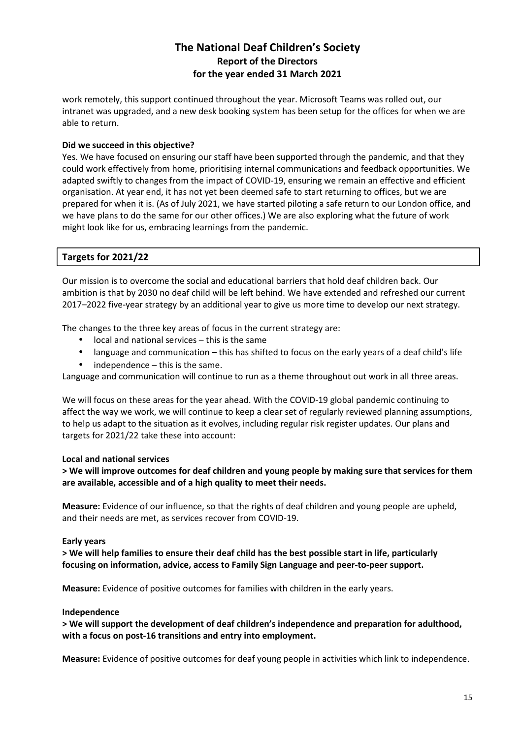work remotely, this support continued throughout the year. Microsoft Teams was rolled out, our intranet was upgraded, and a new desk booking system has been setup for the offices for when we are able to return.

### **Did we succeed in this objective?**

Yes. We have focused on ensuring our staff have been supported through the pandemic, and that they could work effectively from home, prioritising internal communications and feedback opportunities. We adapted swiftly to changes from the impact of COVID-19, ensuring we remain an effective and efficient organisation. At year end, it has not yet been deemed safe to start returning to offices, but we are prepared for when it is. (As of July 2021, we have started piloting a safe return to our London office, and we have plans to do the same for our other offices.) We are also exploring what the future of work might look like for us, embracing learnings from the pandemic.

### **Targets for 2021/22**

Our mission is to overcome the social and educational barriers that hold deaf children back. Our ambition is that by 2030 no deaf child will be left behind. We have extended and refreshed our current 2017–2022 five-year strategy by an additional year to give us more time to develop our next strategy.

The changes to the three key areas of focus in the current strategy are:

- local and national services this is the same
- language and communication this has shifted to focus on the early years of a deaf child's life
- independence this is the same.

Language and communication will continue to run as a theme throughout out work in all three areas.

We will focus on these areas for the year ahead. With the COVID-19 global pandemic continuing to affect the way we work, we will continue to keep a clear set of regularly reviewed planning assumptions, to help us adapt to the situation as it evolves, including regular risk register updates. Our plans and targets for 2021/22 take these into account:

### **Local and national services**

**> We will improve outcomes for deaf children and young people by making sure that services for them are available, accessible and of a high quality to meet their needs.** 

**Measure:** Evidence of our influence, so that the rights of deaf children and young people are upheld, and their needs are met, as services recover from COVID-19.

### **Early years**

**> We will help families to ensure their deaf child has the best possible start in life, particularly focusing on information, advice, access to Family Sign Language and peer-to-peer support.** 

**Measure:** Evidence of positive outcomes for families with children in the early years.

### **Independence**

**> We will support the development of deaf children's independence and preparation for adulthood, with a focus on post-16 transitions and entry into employment.**

**Measure:** Evidence of positive outcomes for deaf young people in activities which link to independence.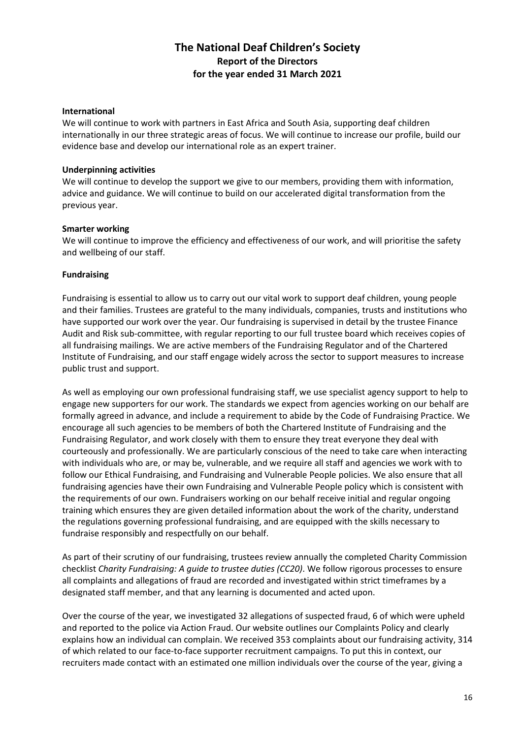### **International**

We will continue to work with partners in East Africa and South Asia, supporting deaf children internationally in our three strategic areas of focus. We will continue to increase our profile, build our evidence base and develop our international role as an expert trainer.

### **Underpinning activities**

We will continue to develop the support we give to our members, providing them with information, advice and guidance. We will continue to build on our accelerated digital transformation from the previous year.

### **Smarter working**

We will continue to improve the efficiency and effectiveness of our work, and will prioritise the safety and wellbeing of our staff.

### **Fundraising**

Fundraising is essential to allow us to carry out our vital work to support deaf children, young people and their families. Trustees are grateful to the many individuals, companies, trusts and institutions who have supported our work over the year. Our fundraising is supervised in detail by the trustee Finance Audit and Risk sub-committee, with regular reporting to our full trustee board which receives copies of all fundraising mailings. We are active members of the Fundraising Regulator and of the Chartered Institute of Fundraising, and our staff engage widely across the sector to support measures to increase public trust and support.

As well as employing our own professional fundraising staff, we use specialist agency support to help to engage new supporters for our work. The standards we expect from agencies working on our behalf are formally agreed in advance, and include a requirement to abide by the Code of Fundraising Practice. We encourage all such agencies to be members of both the Chartered Institute of Fundraising and the Fundraising Regulator, and work closely with them to ensure they treat everyone they deal with courteously and professionally. We are particularly conscious of the need to take care when interacting with individuals who are, or may be, vulnerable, and we require all staff and agencies we work with to follow our Ethical Fundraising, and Fundraising and Vulnerable People policies. We also ensure that all fundraising agencies have their own Fundraising and Vulnerable People policy which is consistent with the requirements of our own. Fundraisers working on our behalf receive initial and regular ongoing training which ensures they are given detailed information about the work of the charity, understand the regulations governing professional fundraising, and are equipped with the skills necessary to fundraise responsibly and respectfully on our behalf.

As part of their scrutiny of our fundraising, trustees review annually the completed Charity Commission checklist *Charity Fundraising: A guide to trustee duties (CC20)*. We follow rigorous processes to ensure all complaints and allegations of fraud are recorded and investigated within strict timeframes by a designated staff member, and that any learning is documented and acted upon.

Over the course of the year, we investigated 32 allegations of suspected fraud, 6 of which were upheld and reported to the police via Action Fraud. Our website outlines our Complaints Policy and clearly explains how an individual can complain. We received 353 complaints about our fundraising activity, 314 of which related to our face-to-face supporter recruitment campaigns. To put this in context, our recruiters made contact with an estimated one million individuals over the course of the year, giving a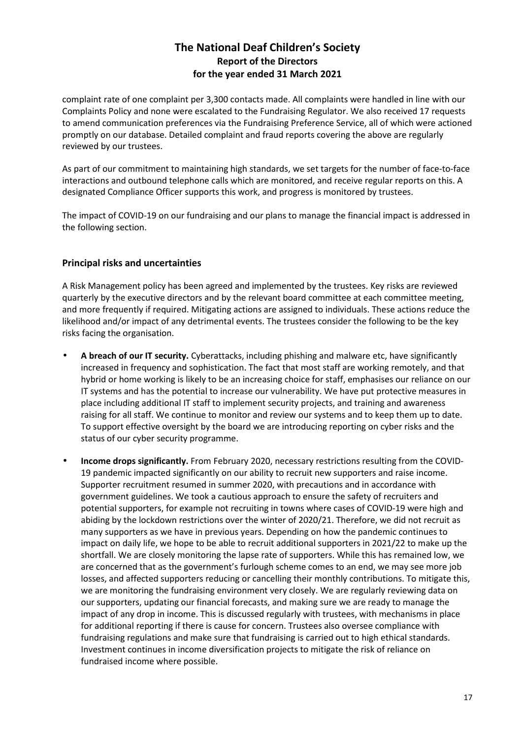complaint rate of one complaint per 3,300 contacts made. All complaints were handled in line with our Complaints Policy and none were escalated to the Fundraising Regulator. We also received 17 requests to amend communication preferences via the Fundraising Preference Service, all of which were actioned promptly on our database. Detailed complaint and fraud reports covering the above are regularly reviewed by our trustees.

As part of our commitment to maintaining high standards, we set targets for the number of face-to-face interactions and outbound telephone calls which are monitored, and receive regular reports on this. A designated Compliance Officer supports this work, and progress is monitored by trustees.

The impact of COVID-19 on our fundraising and our plans to manage the financial impact is addressed in the following section.

### **Principal risks and uncertainties**

A Risk Management policy has been agreed and implemented by the trustees. Key risks are reviewed quarterly by the executive directors and by the relevant board committee at each committee meeting, and more frequently if required. Mitigating actions are assigned to individuals. These actions reduce the likelihood and/or impact of any detrimental events. The trustees consider the following to be the key risks facing the organisation.

- **A breach of our IT security.** Cyberattacks, including phishing and malware etc, have significantly increased in frequency and sophistication. The fact that most staff are working remotely, and that hybrid or home working is likely to be an increasing choice for staff, emphasises our reliance on our IT systems and has the potential to increase our vulnerability. We have put protective measures in place including additional IT staff to implement security projects, and training and awareness raising for all staff. We continue to monitor and review our systems and to keep them up to date. To support effective oversight by the board we are introducing reporting on cyber risks and the status of our cyber security programme.
- **Income drops significantly.** From February 2020, necessary restrictions resulting from the COVID-19 pandemic impacted significantly on our ability to recruit new supporters and raise income. Supporter recruitment resumed in summer 2020, with precautions and in accordance with government guidelines. We took a cautious approach to ensure the safety of recruiters and potential supporters, for example not recruiting in towns where cases of COVID-19 were high and abiding by the lockdown restrictions over the winter of 2020/21. Therefore, we did not recruit as many supporters as we have in previous years. Depending on how the pandemic continues to impact on daily life, we hope to be able to recruit additional supporters in 2021/22 to make up the shortfall. We are closely monitoring the lapse rate of supporters. While this has remained low, we are concerned that as the government's furlough scheme comes to an end, we may see more job losses, and affected supporters reducing or cancelling their monthly contributions. To mitigate this, we are monitoring the fundraising environment very closely. We are regularly reviewing data on our supporters, updating our financial forecasts, and making sure we are ready to manage the impact of any drop in income. This is discussed regularly with trustees, with mechanisms in place for additional reporting if there is cause for concern. Trustees also oversee compliance with fundraising regulations and make sure that fundraising is carried out to high ethical standards. Investment continues in income diversification projects to mitigate the risk of reliance on fundraised income where possible.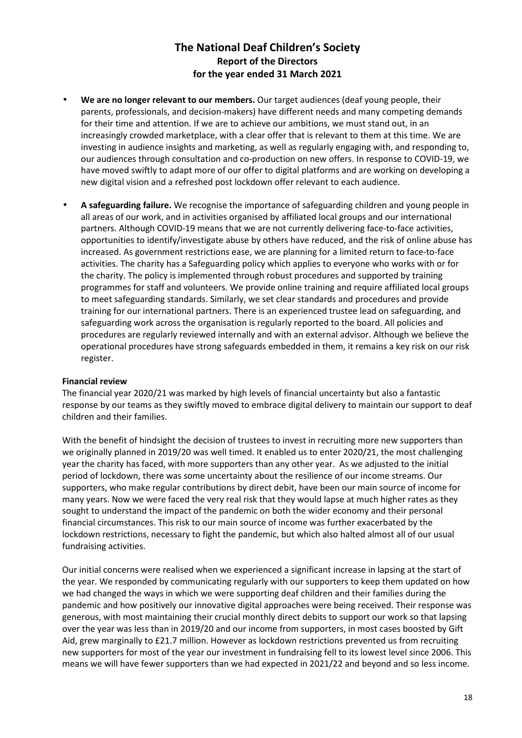- **We are no longer relevant to our members.** Our target audiences (deaf young people, their parents, professionals, and decision-makers) have different needs and many competing demands for their time and attention. If we are to achieve our ambitions, we must stand out, in an increasingly crowded marketplace, with a clear offer that is relevant to them at this time. We are investing in audience insights and marketing, as well as regularly engaging with, and responding to, our audiences through consultation and co-production on new offers. In response to COVID-19, we have moved swiftly to adapt more of our offer to digital platforms and are working on developing a new digital vision and a refreshed post lockdown offer relevant to each audience.
- **A safeguarding failure.** We recognise the importance of safeguarding children and young people in all areas of our work, and in activities organised by affiliated local groups and our international partners. Although COVID-19 means that we are not currently delivering face-to-face activities, opportunities to identify/investigate abuse by others have reduced, and the risk of online abuse has increased. As government restrictions ease, we are planning for a limited return to face-to-face activities. The charity has a Safeguarding policy which applies to everyone who works with or for the charity. The policy is implemented through robust procedures and supported by training programmes for staff and volunteers. We provide online training and require affiliated local groups to meet safeguarding standards. Similarly, we set clear standards and procedures and provide training for our international partners. There is an experienced trustee lead on safeguarding, and safeguarding work across the organisation is regularly reported to the board. All policies and procedures are regularly reviewed internally and with an external advisor. Although we believe the operational procedures have strong safeguards embedded in them, it remains a key risk on our risk register.

### **Financial review**

The financial year 2020/21 was marked by high levels of financial uncertainty but also a fantastic response by our teams as they swiftly moved to embrace digital delivery to maintain our support to deaf children and their families.

With the benefit of hindsight the decision of trustees to invest in recruiting more new supporters than we originally planned in 2019/20 was well timed. It enabled us to enter 2020/21, the most challenging year the charity has faced, with more supporters than any other year. As we adjusted to the initial period of lockdown, there was some uncertainty about the resilience of our income streams. Our supporters, who make regular contributions by direct debit, have been our main source of income for many years. Now we were faced the very real risk that they would lapse at much higher rates as they sought to understand the impact of the pandemic on both the wider economy and their personal financial circumstances. This risk to our main source of income was further exacerbated by the lockdown restrictions, necessary to fight the pandemic, but which also halted almost all of our usual fundraising activities.

Our initial concerns were realised when we experienced a significant increase in lapsing at the start of the year. We responded by communicating regularly with our supporters to keep them updated on how we had changed the ways in which we were supporting deaf children and their families during the pandemic and how positively our innovative digital approaches were being received. Their response was generous, with most maintaining their crucial monthly direct debits to support our work so that lapsing over the year was less than in 2019/20 and our income from supporters, in most cases boosted by Gift Aid, grew marginally to £21.7 million. However as lockdown restrictions prevented us from recruiting new supporters for most of the year our investment in fundraising fell to its lowest level since 2006. This means we will have fewer supporters than we had expected in 2021/22 and beyond and so less income.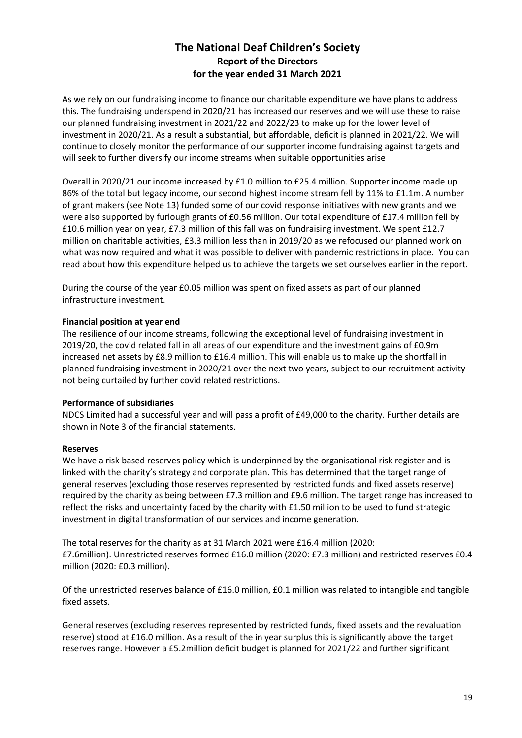As we rely on our fundraising income to finance our charitable expenditure we have plans to address this. The fundraising underspend in 2020/21 has increased our reserves and we will use these to raise our planned fundraising investment in 2021/22 and 2022/23 to make up for the lower level of investment in 2020/21. As a result a substantial, but affordable, deficit is planned in 2021/22. We will continue to closely monitor the performance of our supporter income fundraising against targets and will seek to further diversify our income streams when suitable opportunities arise

Overall in 2020/21 our income increased by £1.0 million to £25.4 million. Supporter income made up 86% of the total but legacy income, our second highest income stream fell by 11% to £1.1m. A number of grant makers (see Note 13) funded some of our covid response initiatives with new grants and we were also supported by furlough grants of £0.56 million. Our total expenditure of £17.4 million fell by £10.6 million year on year, £7.3 million of this fall was on fundraising investment. We spent £12.7 million on charitable activities, £3.3 million less than in 2019/20 as we refocused our planned work on what was now required and what it was possible to deliver with pandemic restrictions in place. You can read about how this expenditure helped us to achieve the targets we set ourselves earlier in the report.

During the course of the year £0.05 million was spent on fixed assets as part of our planned infrastructure investment.

### **Financial position at year end**

The resilience of our income streams, following the exceptional level of fundraising investment in 2019/20, the covid related fall in all areas of our expenditure and the investment gains of £0.9m increased net assets by £8.9 million to £16.4 million. This will enable us to make up the shortfall in planned fundraising investment in 2020/21 over the next two years, subject to our recruitment activity not being curtailed by further covid related restrictions.

### **Performance of subsidiaries**

NDCS Limited had a successful year and will pass a profit of £49,000 to the charity. Further details are shown in Note 3 of the financial statements.

### **Reserves**

We have a risk based reserves policy which is underpinned by the organisational risk register and is linked with the charity's strategy and corporate plan. This has determined that the target range of general reserves (excluding those reserves represented by restricted funds and fixed assets reserve) required by the charity as being between £7.3 million and £9.6 million. The target range has increased to reflect the risks and uncertainty faced by the charity with £1.50 million to be used to fund strategic investment in digital transformation of our services and income generation.

The total reserves for the charity as at 31 March 2021 were £16.4 million (2020: £7.6million). Unrestricted reserves formed £16.0 million (2020: £7.3 million) and restricted reserves £0.4 million (2020: £0.3 million).

Of the unrestricted reserves balance of £16.0 million, £0.1 million was related to intangible and tangible fixed assets.

General reserves (excluding reserves represented by restricted funds, fixed assets and the revaluation reserve) stood at £16.0 million. As a result of the in year surplus this is significantly above the target reserves range. However a £5.2million deficit budget is planned for 2021/22 and further significant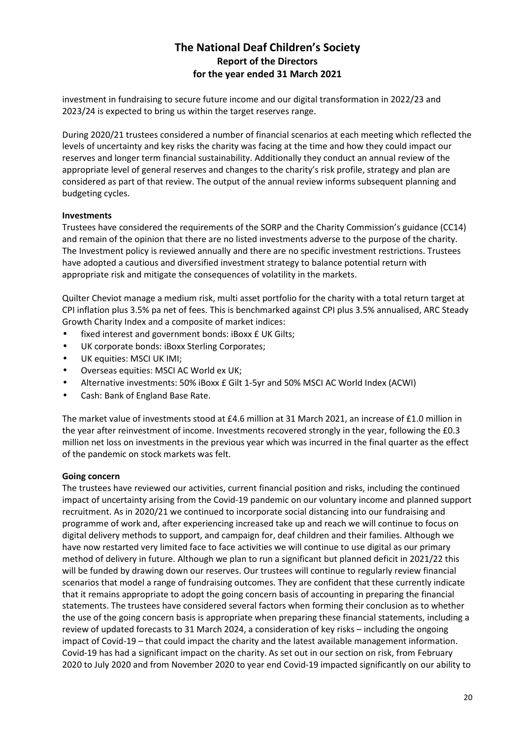investment in fundraising to secure future income and our digital transformation in 2022/23 and 2023/24 is expected to bring us within the target reserves range.

During 2020/21 trustees considered a number of financial scenarios at each meeting which reflected the levels of uncertainty and key risks the charity was facing at the time and how they could impact our reserves and longer term financial sustainability. Additionally they conduct an annual review of the appropriate level of general reserves and changes to the charity's risk profile, strategy and plan are considered as part of that review. The output of the annual review informs subsequent planning and budgeting cycles.

### **Investments**

Trustees have considered the requirements of the SORP and the Charity Commission's guidance (CC14) and remain of the opinion that there are no listed investments adverse to the purpose of the charity. The Investment policy is reviewed annually and there are no specific investment restrictions. Trustees have adopted a cautious and diversified investment strategy to balance potential return with appropriate risk and mitigate the consequences of volatility in the markets.

Quilter Cheviot manage a medium risk, multi asset portfolio for the charity with a total return target at CPI inflation plus 3.5% pa net of fees. This is benchmarked against CPI plus 3.5% annualised, ARC Steady Growth Charity Index and a composite of market indices:

- fixed interest and government bonds: iBoxx £ UK Gilts;
- UK corporate bonds: iBoxx Sterling Corporates;
- UK equities: MSCI UK IMI;
- Overseas equities: MSCI AC World ex UK;
- Alternative investments: 50% iBoxx £ Gilt 1-5yr and 50% MSCI AC World Index (ACWI)
- Cash: Bank of England Base Rate.

The market value of investments stood at £4.6 million at 31 March 2021, an increase of £1.0 million in the year after reinvestment of income. Investments recovered strongly in the year, following the £0.3 million net loss on investments in the previous year which was incurred in the final quarter as the effect of the pandemic on stock markets was felt.

### **Going concern**

The trustees have reviewed our activities, current financial position and risks, including the continued impact of uncertainty arising from the Covid-19 pandemic on our voluntary income and planned support recruitment. As in 2020/21 we continued to incorporate social distancing into our fundraising and programme of work and, after experiencing increased take up and reach we will continue to focus on digital delivery methods to support, and campaign for, deaf children and their families. Although we have now restarted very limited face to face activities we will continue to use digital as our primary method of delivery in future. Although we plan to run a significant but planned deficit in 2021/22 this will be funded by drawing down our reserves. Our trustees will continue to regularly review financial scenarios that model a range of fundraising outcomes. They are confident that these currently indicate that it remains appropriate to adopt the going concern basis of accounting in preparing the financial statements. The trustees have considered several factors when forming their conclusion as to whether the use of the going concern basis is appropriate when preparing these financial statements, including a review of updated forecasts to 31 March 2024, a consideration of key risks – including the ongoing impact of Covid-19 – that could impact the charity and the latest available management information. Covid-19 has had a significant impact on the charity. As set out in our section on risk, from February 2020 to July 2020 and from November 2020 to year end Covid-19 impacted significantly on our ability to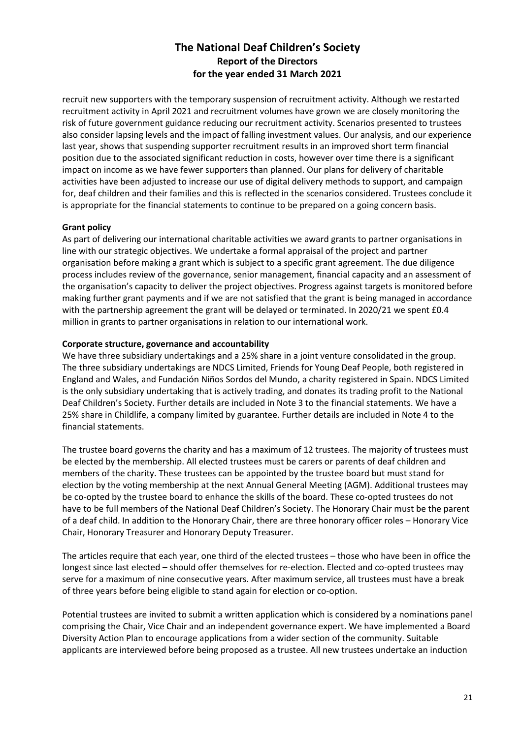recruit new supporters with the temporary suspension of recruitment activity. Although we restarted recruitment activity in April 2021 and recruitment volumes have grown we are closely monitoring the risk of future government guidance reducing our recruitment activity. Scenarios presented to trustees also consider lapsing levels and the impact of falling investment values. Our analysis, and our experience last year, shows that suspending supporter recruitment results in an improved short term financial position due to the associated significant reduction in costs, however over time there is a significant impact on income as we have fewer supporters than planned. Our plans for delivery of charitable activities have been adjusted to increase our use of digital delivery methods to support, and campaign for, deaf children and their families and this is reflected in the scenarios considered. Trustees conclude it is appropriate for the financial statements to continue to be prepared on a going concern basis.

### **Grant policy**

As part of delivering our international charitable activities we award grants to partner organisations in line with our strategic objectives. We undertake a formal appraisal of the project and partner organisation before making a grant which is subject to a specific grant agreement. The due diligence process includes review of the governance, senior management, financial capacity and an assessment of the organisation's capacity to deliver the project objectives. Progress against targets is monitored before making further grant payments and if we are not satisfied that the grant is being managed in accordance with the partnership agreement the grant will be delayed or terminated. In 2020/21 we spent £0.4 million in grants to partner organisations in relation to our international work.

### **Corporate structure, governance and accountability**

We have three subsidiary undertakings and a 25% share in a joint venture consolidated in the group. The three subsidiary undertakings are NDCS Limited, Friends for Young Deaf People, both registered in England and Wales, and Fundación Niños Sordos del Mundo, a charity registered in Spain. NDCS Limited is the only subsidiary undertaking that is actively trading, and donates its trading profit to the National Deaf Children's Society. Further details are included in Note 3 to the financial statements. We have a 25% share in Childlife, a company limited by guarantee. Further details are included in Note 4 to the financial statements.

The trustee board governs the charity and has a maximum of 12 trustees. The majority of trustees must be elected by the membership. All elected trustees must be carers or parents of deaf children and members of the charity. These trustees can be appointed by the trustee board but must stand for election by the voting membership at the next Annual General Meeting (AGM). Additional trustees may be co-opted by the trustee board to enhance the skills of the board. These co-opted trustees do not have to be full members of the National Deaf Children's Society. The Honorary Chair must be the parent of a deaf child. In addition to the Honorary Chair, there are three honorary officer roles – Honorary Vice Chair, Honorary Treasurer and Honorary Deputy Treasurer.

The articles require that each year, one third of the elected trustees – those who have been in office the longest since last elected – should offer themselves for re-election. Elected and co-opted trustees may serve for a maximum of nine consecutive years. After maximum service, all trustees must have a break of three years before being eligible to stand again for election or co-option.

Potential trustees are invited to submit a written application which is considered by a nominations panel comprising the Chair, Vice Chair and an independent governance expert. We have implemented a Board Diversity Action Plan to encourage applications from a wider section of the community. Suitable applicants are interviewed before being proposed as a trustee. All new trustees undertake an induction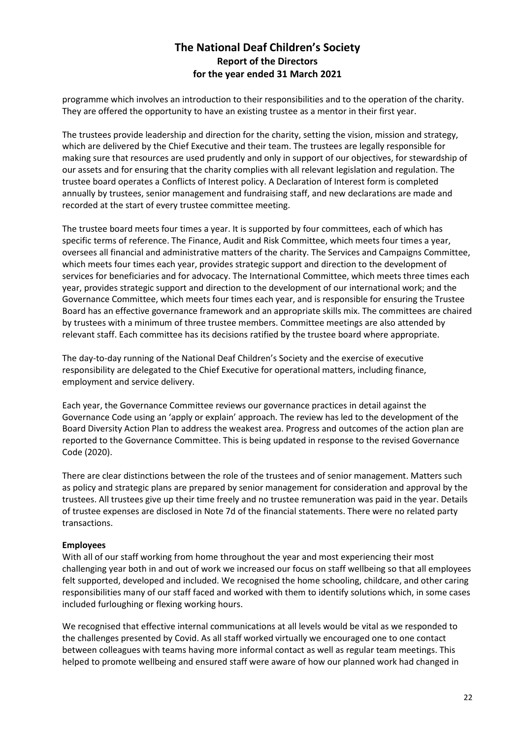programme which involves an introduction to their responsibilities and to the operation of the charity. They are offered the opportunity to have an existing trustee as a mentor in their first year.

The trustees provide leadership and direction for the charity, setting the vision, mission and strategy, which are delivered by the Chief Executive and their team. The trustees are legally responsible for making sure that resources are used prudently and only in support of our objectives, for stewardship of our assets and for ensuring that the charity complies with all relevant legislation and regulation. The trustee board operates a Conflicts of Interest policy. A Declaration of Interest form is completed annually by trustees, senior management and fundraising staff, and new declarations are made and recorded at the start of every trustee committee meeting.

The trustee board meets four times a year. It is supported by four committees, each of which has specific terms of reference. The Finance, Audit and Risk Committee, which meets four times a year, oversees all financial and administrative matters of the charity. The Services and Campaigns Committee, which meets four times each year, provides strategic support and direction to the development of services for beneficiaries and for advocacy. The International Committee, which meets three times each year, provides strategic support and direction to the development of our international work; and the Governance Committee, which meets four times each year, and is responsible for ensuring the Trustee Board has an effective governance framework and an appropriate skills mix. The committees are chaired by trustees with a minimum of three trustee members. Committee meetings are also attended by relevant staff. Each committee has its decisions ratified by the trustee board where appropriate.

The day-to-day running of the National Deaf Children's Society and the exercise of executive responsibility are delegated to the Chief Executive for operational matters, including finance, employment and service delivery.

Each year, the Governance Committee reviews our governance practices in detail against the Governance Code using an 'apply or explain' approach. The review has led to the development of the Board Diversity Action Plan to address the weakest area. Progress and outcomes of the action plan are reported to the Governance Committee. This is being updated in response to the revised Governance Code (2020).

There are clear distinctions between the role of the trustees and of senior management. Matters such as policy and strategic plans are prepared by senior management for consideration and approval by the trustees. All trustees give up their time freely and no trustee remuneration was paid in the year. Details of trustee expenses are disclosed in Note 7d of the financial statements. There were no related party transactions.

### **Employees**

With all of our staff working from home throughout the year and most experiencing their most challenging year both in and out of work we increased our focus on staff wellbeing so that all employees felt supported, developed and included. We recognised the home schooling, childcare, and other caring responsibilities many of our staff faced and worked with them to identify solutions which, in some cases included furloughing or flexing working hours.

We recognised that effective internal communications at all levels would be vital as we responded to the challenges presented by Covid. As all staff worked virtually we encouraged one to one contact between colleagues with teams having more informal contact as well as regular team meetings. This helped to promote wellbeing and ensured staff were aware of how our planned work had changed in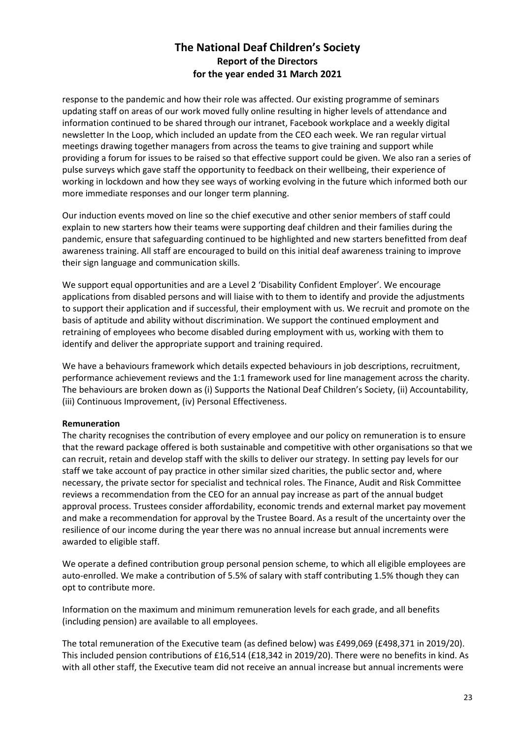response to the pandemic and how their role was affected. Our existing programme of seminars updating staff on areas of our work moved fully online resulting in higher levels of attendance and information continued to be shared through our intranet, Facebook workplace and a weekly digital newsletter In the Loop, which included an update from the CEO each week. We ran regular virtual meetings drawing together managers from across the teams to give training and support while providing a forum for issues to be raised so that effective support could be given. We also ran a series of pulse surveys which gave staff the opportunity to feedback on their wellbeing, their experience of working in lockdown and how they see ways of working evolving in the future which informed both our more immediate responses and our longer term planning.

Our induction events moved on line so the chief executive and other senior members of staff could explain to new starters how their teams were supporting deaf children and their families during the pandemic, ensure that safeguarding continued to be highlighted and new starters benefitted from deaf awareness training. All staff are encouraged to build on this initial deaf awareness training to improve their sign language and communication skills.

We support equal opportunities and are a Level 2 'Disability Confident Employer'. We encourage applications from disabled persons and will liaise with to them to identify and provide the adjustments to support their application and if successful, their employment with us. We recruit and promote on the basis of aptitude and ability without discrimination. We support the continued employment and retraining of employees who become disabled during employment with us, working with them to identify and deliver the appropriate support and training required.

We have a behaviours framework which details expected behaviours in job descriptions, recruitment, performance achievement reviews and the 1:1 framework used for line management across the charity. The behaviours are broken down as (i) Supports the National Deaf Children's Society, (ii) Accountability, (iii) Continuous Improvement, (iv) Personal Effectiveness.

### **Remuneration**

The charity recognises the contribution of every employee and our policy on remuneration is to ensure that the reward package offered is both sustainable and competitive with other organisations so that we can recruit, retain and develop staff with the skills to deliver our strategy. In setting pay levels for our staff we take account of pay practice in other similar sized charities, the public sector and, where necessary, the private sector for specialist and technical roles. The Finance, Audit and Risk Committee reviews a recommendation from the CEO for an annual pay increase as part of the annual budget approval process. Trustees consider affordability, economic trends and external market pay movement and make a recommendation for approval by the Trustee Board. As a result of the uncertainty over the resilience of our income during the year there was no annual increase but annual increments were awarded to eligible staff.

We operate a defined contribution group personal pension scheme, to which all eligible employees are auto-enrolled. We make a contribution of 5.5% of salary with staff contributing 1.5% though they can opt to contribute more.

Information on the maximum and minimum remuneration levels for each grade, and all benefits (including pension) are available to all employees.

The total remuneration of the Executive team (as defined below) was £499,069 (£498,371 in 2019/20). This included pension contributions of £16,514 (£18,342 in 2019/20). There were no benefits in kind. As with all other staff, the Executive team did not receive an annual increase but annual increments were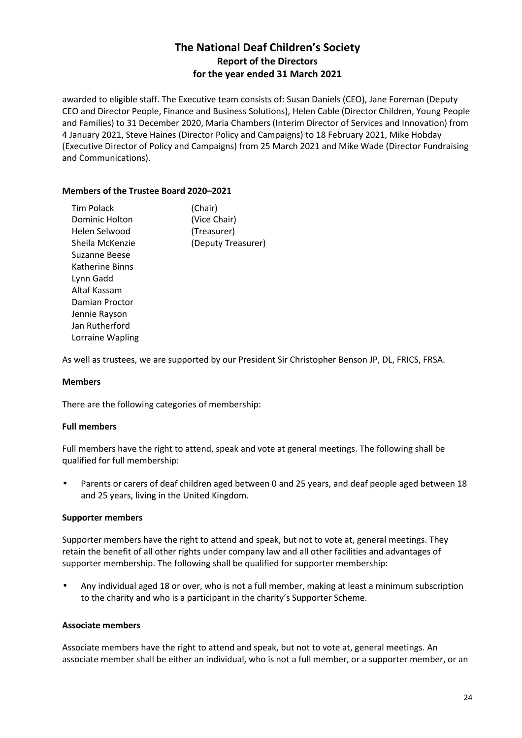awarded to eligible staff. The Executive team consists of: Susan Daniels (CEO), Jane Foreman (Deputy CEO and Director People, Finance and Business Solutions), Helen Cable (Director Children, Young People and Families) to 31 December 2020, Maria Chambers (Interim Director of Services and Innovation) from 4 January 2021, Steve Haines (Director Policy and Campaigns) to 18 February 2021, Mike Hobday (Executive Director of Policy and Campaigns) from 25 March 2021 and Mike Wade (Director Fundraising and Communications).

### **Members of the Trustee Board 2020–2021**

| (Chair)            |
|--------------------|
| (Vice Chair)       |
| (Treasurer)        |
| (Deputy Treasurer) |
|                    |
|                    |
|                    |
|                    |
|                    |
|                    |
|                    |
|                    |
|                    |

As well as trustees, we are supported by our President Sir Christopher Benson JP, DL, FRICS, FRSA.

### **Members**

There are the following categories of membership:

### **Full members**

Full members have the right to attend, speak and vote at general meetings. The following shall be qualified for full membership:

• Parents or carers of deaf children aged between 0 and 25 years, and deaf people aged between 18 and 25 years, living in the United Kingdom.

### **Supporter members**

Supporter members have the right to attend and speak, but not to vote at, general meetings. They retain the benefit of all other rights under company law and all other facilities and advantages of supporter membership. The following shall be qualified for supporter membership:

• Any individual aged 18 or over, who is not a full member, making at least a minimum subscription to the charity and who is a participant in the charity's Supporter Scheme.

### **Associate members**

Associate members have the right to attend and speak, but not to vote at, general meetings. An associate member shall be either an individual, who is not a full member, or a supporter member, or an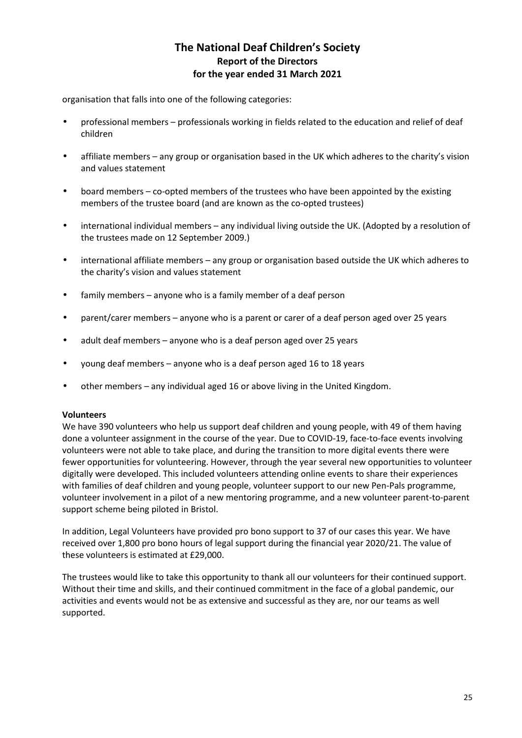organisation that falls into one of the following categories:

- professional members professionals working in fields related to the education and relief of deaf children
- affiliate members any group or organisation based in the UK which adheres to the charity's vision and values statement
- board members co-opted members of the trustees who have been appointed by the existing members of the trustee board (and are known as the co-opted trustees)
- international individual members any individual living outside the UK. (Adopted by a resolution of the trustees made on 12 September 2009.)
- international affiliate members any group or organisation based outside the UK which adheres to the charity's vision and values statement
- family members anyone who is a family member of a deaf person
- parent/carer members anyone who is a parent or carer of a deaf person aged over 25 years
- adult deaf members anyone who is a deaf person aged over 25 years
- young deaf members anyone who is a deaf person aged 16 to 18 years
- other members any individual aged 16 or above living in the United Kingdom.

### **Volunteers**

We have 390 volunteers who help us support deaf children and young people, with 49 of them having done a volunteer assignment in the course of the year. Due to COVID-19, face-to-face events involving volunteers were not able to take place, and during the transition to more digital events there were fewer opportunities for volunteering. However, through the year several new opportunities to volunteer digitally were developed. This included volunteers attending online events to share their experiences with families of deaf children and young people, volunteer support to our new Pen-Pals programme, volunteer involvement in a pilot of a new mentoring programme, and a new volunteer parent-to-parent support scheme being piloted in Bristol.

In addition, Legal Volunteers have provided pro bono support to 37 of our cases this year. We have received over 1,800 pro bono hours of legal support during the financial year 2020/21. The value of these volunteers is estimated at £29,000.

The trustees would like to take this opportunity to thank all our volunteers for their continued support. Without their time and skills, and their continued commitment in the face of a global pandemic, our activities and events would not be as extensive and successful as they are, nor our teams as well supported.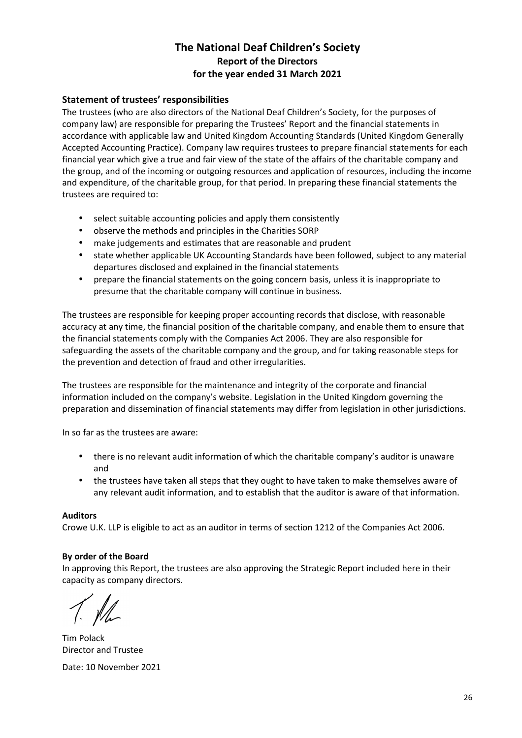### **Statement of trustees' responsibilities**

The trustees (who are also directors of the National Deaf Children's Society, for the purposes of company law) are responsible for preparing the Trustees' Report and the financial statements in accordance with applicable law and United Kingdom Accounting Standards (United Kingdom Generally Accepted Accounting Practice). Company law requires trustees to prepare financial statements for each financial year which give a true and fair view of the state of the affairs of the charitable company and the group, and of the incoming or outgoing resources and application of resources, including the income and expenditure, of the charitable group, for that period. In preparing these financial statements the trustees are required to:

- select suitable accounting policies and apply them consistently
- observe the methods and principles in the Charities SORP
- make judgements and estimates that are reasonable and prudent
- state whether applicable UK Accounting Standards have been followed, subject to any material departures disclosed and explained in the financial statements
- prepare the financial statements on the going concern basis, unless it is inappropriate to presume that the charitable company will continue in business.

The trustees are responsible for keeping proper accounting records that disclose, with reasonable accuracy at any time, the financial position of the charitable company, and enable them to ensure that the financial statements comply with the Companies Act 2006. They are also responsible for safeguarding the assets of the charitable company and the group, and for taking reasonable steps for the prevention and detection of fraud and other irregularities.

The trustees are responsible for the maintenance and integrity of the corporate and financial information included on the company's website. Legislation in the United Kingdom governing the preparation and dissemination of financial statements may differ from legislation in other jurisdictions.

In so far as the trustees are aware:

- there is no relevant audit information of which the charitable company's auditor is unaware and
- the trustees have taken all steps that they ought to have taken to make themselves aware of any relevant audit information, and to establish that the auditor is aware of that information.

### **Auditors**

Crowe U.K. LLP is eligible to act as an auditor in terms of section 1212 of the Companies Act 2006.

### **By order of the Board**

In approving this Report, the trustees are also approving the Strategic Report included here in their capacity as company directors.

Tim Polack Director and Trustee Date: 10 November 2021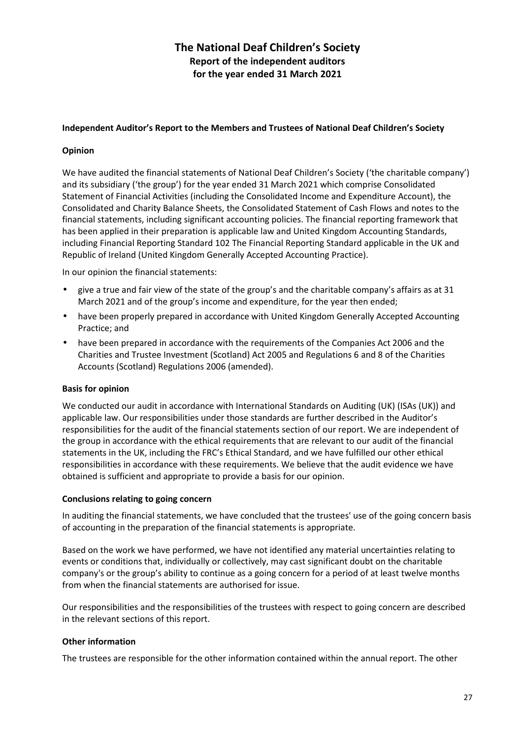### **Independent Auditor's Report to the Members and Trustees of National Deaf Children's Society**

### **Opinion**

We have audited the financial statements of National Deaf Children's Society ('the charitable company') and its subsidiary ('the group') for the year ended 31 March 2021 which comprise Consolidated Statement of Financial Activities (including the Consolidated Income and Expenditure Account), the Consolidated and Charity Balance Sheets, the Consolidated Statement of Cash Flows and notes to the financial statements, including significant accounting policies. The financial reporting framework that has been applied in their preparation is applicable law and United Kingdom Accounting Standards, including Financial Reporting Standard 102 The Financial Reporting Standard applicable in the UK and Republic of Ireland (United Kingdom Generally Accepted Accounting Practice).

In our opinion the financial statements:

- give a true and fair view of the state of the group's and the charitable company's affairs as at 31 March 2021 and of the group's income and expenditure, for the year then ended;
- have been properly prepared in accordance with United Kingdom Generally Accepted Accounting Practice; and
- have been prepared in accordance with the requirements of the Companies Act 2006 and the Charities and Trustee Investment (Scotland) Act 2005 and Regulations 6 and 8 of the Charities Accounts (Scotland) Regulations 2006 (amended).

### **Basis for opinion**

We conducted our audit in accordance with International Standards on Auditing (UK) (ISAs (UK)) and applicable law. Our responsibilities under those standards are further described in the Auditor's responsibilities for the audit of the financial statements section of our report. We are independent of the group in accordance with the ethical requirements that are relevant to our audit of the financial statements in the UK, including the FRC's Ethical Standard, and we have fulfilled our other ethical responsibilities in accordance with these requirements. We believe that the audit evidence we have obtained is sufficient and appropriate to provide a basis for our opinion.

### **Conclusions relating to going concern**

In auditing the financial statements, we have concluded that the trustees' use of the going concern basis of accounting in the preparation of the financial statements is appropriate.

Based on the work we have performed, we have not identified any material uncertainties relating to events or conditions that, individually or collectively, may cast significant doubt on the charitable company's or the group's ability to continue as a going concern for a period of at least twelve months from when the financial statements are authorised for issue.

Our responsibilities and the responsibilities of the trustees with respect to going concern are described in the relevant sections of this report.

### **Other information**

The trustees are responsible for the other information contained within the annual report. The other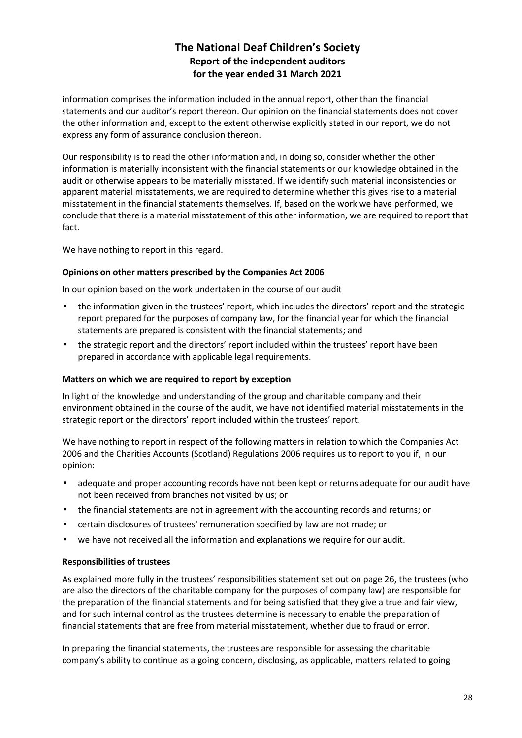information comprises the information included in the annual report, other than the financial statements and our auditor's report thereon. Our opinion on the financial statements does not cover the other information and, except to the extent otherwise explicitly stated in our report, we do not express any form of assurance conclusion thereon.

Our responsibility is to read the other information and, in doing so, consider whether the other information is materially inconsistent with the financial statements or our knowledge obtained in the audit or otherwise appears to be materially misstated. If we identify such material inconsistencies or apparent material misstatements, we are required to determine whether this gives rise to a material misstatement in the financial statements themselves. If, based on the work we have performed, we conclude that there is a material misstatement of this other information, we are required to report that fact.

We have nothing to report in this regard.

### **Opinions on other matters prescribed by the Companies Act 2006**

In our opinion based on the work undertaken in the course of our audit

- the information given in the trustees' report, which includes the directors' report and the strategic report prepared for the purposes of company law, for the financial year for which the financial statements are prepared is consistent with the financial statements; and
- the strategic report and the directors' report included within the trustees' report have been prepared in accordance with applicable legal requirements.

### **Matters on which we are required to report by exception**

In light of the knowledge and understanding of the group and charitable company and their environment obtained in the course of the audit, we have not identified material misstatements in the strategic report or the directors' report included within the trustees' report.

We have nothing to report in respect of the following matters in relation to which the Companies Act 2006 and the Charities Accounts (Scotland) Regulations 2006 requires us to report to you if, in our opinion:

- adequate and proper accounting records have not been kept or returns adequate for our audit have not been received from branches not visited by us; or
- the financial statements are not in agreement with the accounting records and returns; or
- certain disclosures of trustees' remuneration specified by law are not made; or
- we have not received all the information and explanations we require for our audit.

### **Responsibilities of trustees**

As explained more fully in the trustees' responsibilities statement set out on page 26, the trustees (who are also the directors of the charitable company for the purposes of company law) are responsible for the preparation of the financial statements and for being satisfied that they give a true and fair view, and for such internal control as the trustees determine is necessary to enable the preparation of financial statements that are free from material misstatement, whether due to fraud or error.

In preparing the financial statements, the trustees are responsible for assessing the charitable company's ability to continue as a going concern, disclosing, as applicable, matters related to going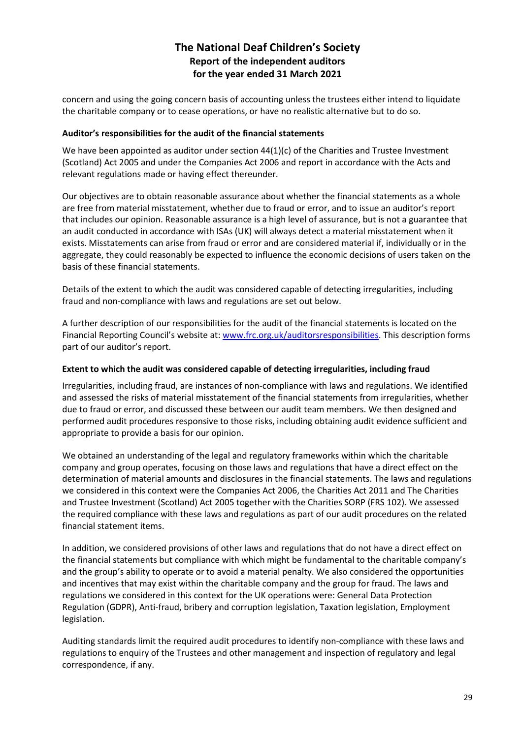concern and using the going concern basis of accounting unless the trustees either intend to liquidate the charitable company or to cease operations, or have no realistic alternative but to do so.

### **Auditor's responsibilities for the audit of the financial statements**

We have been appointed as auditor under section  $44(1)(c)$  of the Charities and Trustee Investment (Scotland) Act 2005 and under the Companies Act 2006 and report in accordance with the Acts and relevant regulations made or having effect thereunder.

Our objectives are to obtain reasonable assurance about whether the financial statements as a whole are free from material misstatement, whether due to fraud or error, and to issue an auditor's report that includes our opinion. Reasonable assurance is a high level of assurance, but is not a guarantee that an audit conducted in accordance with ISAs (UK) will always detect a material misstatement when it exists. Misstatements can arise from fraud or error and are considered material if, individually or in the aggregate, they could reasonably be expected to influence the economic decisions of users taken on the basis of these financial statements.

Details of the extent to which the audit was considered capable of detecting irregularities, including fraud and non-compliance with laws and regulations are set out below.

A further description of our responsibilities for the audit of the financial statements is located on the Financial Reporting Council's website at: www.frc.org.uk/auditorsresponsibilities. This description forms part of our auditor's report.

### **Extent to which the audit was considered capable of detecting irregularities, including fraud**

Irregularities, including fraud, are instances of non-compliance with laws and regulations. We identified and assessed the risks of material misstatement of the financial statements from irregularities, whether due to fraud or error, and discussed these between our audit team members. We then designed and performed audit procedures responsive to those risks, including obtaining audit evidence sufficient and appropriate to provide a basis for our opinion.

We obtained an understanding of the legal and regulatory frameworks within which the charitable company and group operates, focusing on those laws and regulations that have a direct effect on the determination of material amounts and disclosures in the financial statements. The laws and regulations we considered in this context were the Companies Act 2006, the Charities Act 2011 and The Charities and Trustee Investment (Scotland) Act 2005 together with the Charities SORP (FRS 102). We assessed the required compliance with these laws and regulations as part of our audit procedures on the related financial statement items.

In addition, we considered provisions of other laws and regulations that do not have a direct effect on the financial statements but compliance with which might be fundamental to the charitable company's and the group's ability to operate or to avoid a material penalty. We also considered the opportunities and incentives that may exist within the charitable company and the group for fraud. The laws and regulations we considered in this context for the UK operations were: General Data Protection Regulation (GDPR), Anti-fraud, bribery and corruption legislation, Taxation legislation, Employment legislation.

Auditing standards limit the required audit procedures to identify non-compliance with these laws and regulations to enquiry of the Trustees and other management and inspection of regulatory and legal correspondence, if any.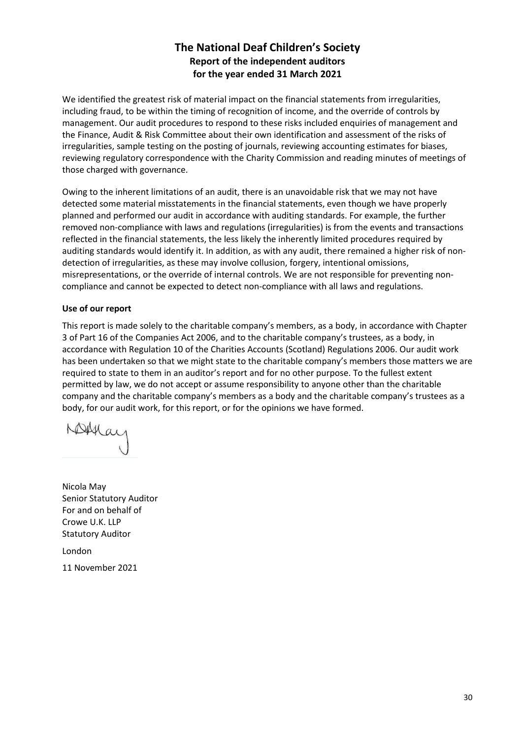We identified the greatest risk of material impact on the financial statements from irregularities, including fraud, to be within the timing of recognition of income, and the override of controls by management. Our audit procedures to respond to these risks included enquiries of management and the Finance, Audit & Risk Committee about their own identification and assessment of the risks of irregularities, sample testing on the posting of journals, reviewing accounting estimates for biases, reviewing regulatory correspondence with the Charity Commission and reading minutes of meetings of those charged with governance.

Owing to the inherent limitations of an audit, there is an unavoidable risk that we may not have detected some material misstatements in the financial statements, even though we have properly planned and performed our audit in accordance with auditing standards. For example, the further removed non-compliance with laws and regulations (irregularities) is from the events and transactions reflected in the financial statements, the less likely the inherently limited procedures required by auditing standards would identify it. In addition, as with any audit, there remained a higher risk of nondetection of irregularities, as these may involve collusion, forgery, intentional omissions, misrepresentations, or the override of internal controls. We are not responsible for preventing noncompliance and cannot be expected to detect non-compliance with all laws and regulations.

### **Use of our report**

This report is made solely to the charitable company's members, as a body, in accordance with Chapter 3 of Part 16 of the Companies Act 2006, and to the charitable company's trustees, as a body, in accordance with Regulation 10 of the Charities Accounts (Scotland) Regulations 2006. Our audit work has been undertaken so that we might state to the charitable company's members those matters we are required to state to them in an auditor's report and for no other purpose. To the fullest extent permitted by law, we do not accept or assume responsibility to anyone other than the charitable company and the charitable company's members as a body and the charitable company's trustees as a body, for our audit work, for this report, or for the opinions we have formed.

Nicola May Senior Statutory Auditor For and on behalf of Crowe U.K. LLP Statutory Auditor

London

11 November 2021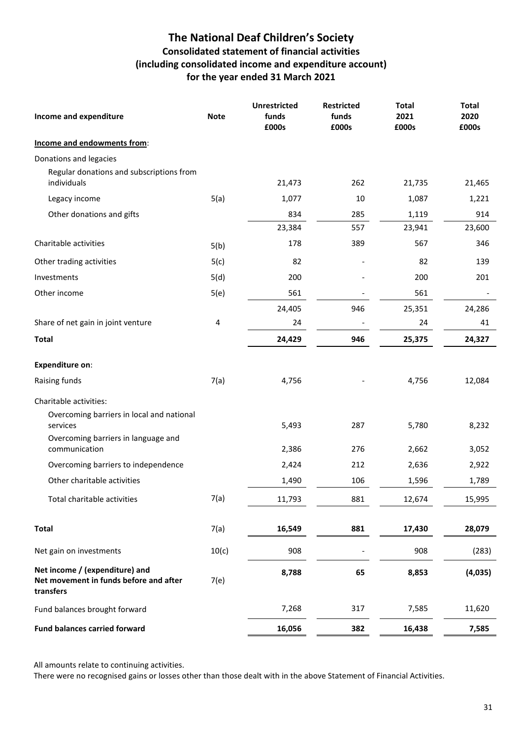# **The National Deaf Children's Society Consolidated statement of financial activities (including consolidated income and expenditure account) for the year ended 31 March 2021**

| Income and expenditure                                                                | <b>Note</b> | <b>Unrestricted</b><br>funds<br>£000s | <b>Restricted</b><br>funds<br>£000s | <b>Total</b><br>2021<br>£000s | <b>Total</b><br>2020<br>£000s |
|---------------------------------------------------------------------------------------|-------------|---------------------------------------|-------------------------------------|-------------------------------|-------------------------------|
| Income and endowments from:                                                           |             |                                       |                                     |                               |                               |
| Donations and legacies                                                                |             |                                       |                                     |                               |                               |
| Regular donations and subscriptions from<br>individuals                               |             | 21,473                                | 262                                 | 21,735                        | 21,465                        |
| Legacy income                                                                         | 5(a)        | 1,077                                 | 10                                  | 1,087                         | 1,221                         |
| Other donations and gifts                                                             |             | 834                                   | 285                                 | 1,119                         | 914                           |
|                                                                                       |             | 23,384                                | 557                                 | 23,941                        | 23,600                        |
| Charitable activities                                                                 | 5(b)        | 178                                   | 389                                 | 567                           | 346                           |
| Other trading activities                                                              | 5(c)        | 82                                    |                                     | 82                            | 139                           |
| Investments                                                                           | 5(d)        | 200                                   |                                     | 200                           | 201                           |
| Other income                                                                          | 5(e)        | 561                                   |                                     | 561                           |                               |
|                                                                                       |             | 24,405                                | 946                                 | 25,351                        | 24,286                        |
| Share of net gain in joint venture                                                    | 4           | 24                                    |                                     | 24                            | 41                            |
| <b>Total</b>                                                                          |             | 24,429                                | 946                                 | 25,375                        | 24,327                        |
| <b>Expenditure on:</b>                                                                |             |                                       |                                     |                               |                               |
| Raising funds                                                                         | 7(a)        | 4,756                                 |                                     | 4,756                         | 12,084                        |
| Charitable activities:                                                                |             |                                       |                                     |                               |                               |
| Overcoming barriers in local and national<br>services                                 |             | 5,493                                 | 287                                 | 5,780                         | 8,232                         |
| Overcoming barriers in language and<br>communication                                  |             | 2,386                                 | 276                                 | 2,662                         | 3,052                         |
| Overcoming barriers to independence                                                   |             | 2,424                                 | 212                                 | 2,636                         | 2,922                         |
| Other charitable activities                                                           |             | 1,490                                 | 106                                 | 1,596                         | 1,789                         |
| Total charitable activities                                                           | 7(a)        | 11,793                                | 881                                 | 12,674                        | 15,995                        |
| <b>Total</b>                                                                          | 7(a)        | 16,549                                | 881                                 | 17,430                        | 28,079                        |
| Net gain on investments                                                               | 10(c)       | 908                                   |                                     | 908                           | (283)                         |
| Net income / (expenditure) and<br>Net movement in funds before and after<br>transfers | 7(e)        | 8,788                                 | 65                                  | 8,853                         | (4,035)                       |
| Fund balances brought forward                                                         |             | 7,268                                 | 317                                 | 7,585                         | 11,620                        |
| <b>Fund balances carried forward</b>                                                  |             | 16,056                                | 382                                 | 16,438                        | 7,585                         |

All amounts relate to continuing activities.

There were no recognised gains or losses other than those dealt with in the above Statement of Financial Activities.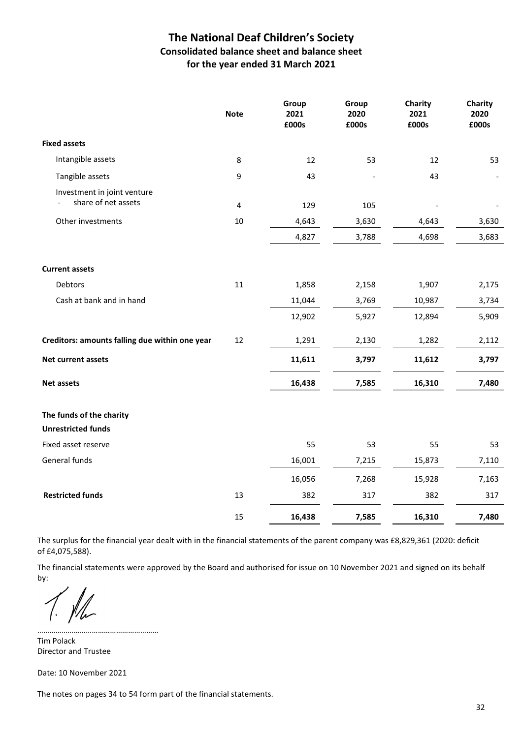# **The National Deaf Children's Society Consolidated balance sheet and balance sheet for the year ended 31 March 2021**

|                                                       | <b>Note</b>    | Group<br>2021<br>£000s | Group<br>2020<br>£000s | Charity<br>2021<br>£000s | Charity<br>2020<br>£000s |
|-------------------------------------------------------|----------------|------------------------|------------------------|--------------------------|--------------------------|
| <b>Fixed assets</b>                                   |                |                        |                        |                          |                          |
| Intangible assets                                     | 8              | 12                     | 53                     | 12                       | 53                       |
| Tangible assets                                       | 9              | 43                     |                        | 43                       |                          |
| Investment in joint venture<br>share of net assets    | $\overline{4}$ | 129                    | 105                    |                          |                          |
| Other investments                                     | $10\,$         | 4,643                  | 3,630                  | 4,643                    | 3,630                    |
|                                                       |                | 4,827                  | 3,788                  | 4,698                    | 3,683                    |
| <b>Current assets</b>                                 |                |                        |                        |                          |                          |
| Debtors                                               | 11             | 1,858                  | 2,158                  | 1,907                    | 2,175                    |
| Cash at bank and in hand                              |                | 11,044                 | 3,769                  | 10,987                   | 3,734                    |
|                                                       |                | 12,902                 | 5,927                  | 12,894                   | 5,909                    |
| Creditors: amounts falling due within one year        | 12             | 1,291                  | 2,130                  | 1,282                    | 2,112                    |
| Net current assets                                    |                | 11,611                 | 3,797                  | 11,612                   | 3,797                    |
| <b>Net assets</b>                                     |                | 16,438                 | 7,585                  | 16,310                   | 7,480                    |
| The funds of the charity<br><b>Unrestricted funds</b> |                |                        |                        |                          |                          |
| Fixed asset reserve                                   |                | 55                     | 53                     | 55                       | 53                       |
| General funds                                         |                | 16,001                 | 7,215                  | 15,873                   | 7,110                    |
|                                                       |                | 16,056                 | 7,268                  | 15,928                   | 7,163                    |
| <b>Restricted funds</b>                               | 13             | 382                    | 317                    | 382                      | 317                      |
|                                                       | 15             | 16,438                 | 7,585                  | 16,310                   | 7,480                    |

The surplus for the financial year dealt with in the financial statements of the parent company was £8,829,361 (2020: deficit of £4,075,588).

The financial statements were approved by the Board and authorised for issue on 10 November 2021 and signed on its behalf by:

…………………………………………………… Tim Polack Director and Trustee

Date: 10 November 2021

The notes on pages 34 to 54 form part of the financial statements.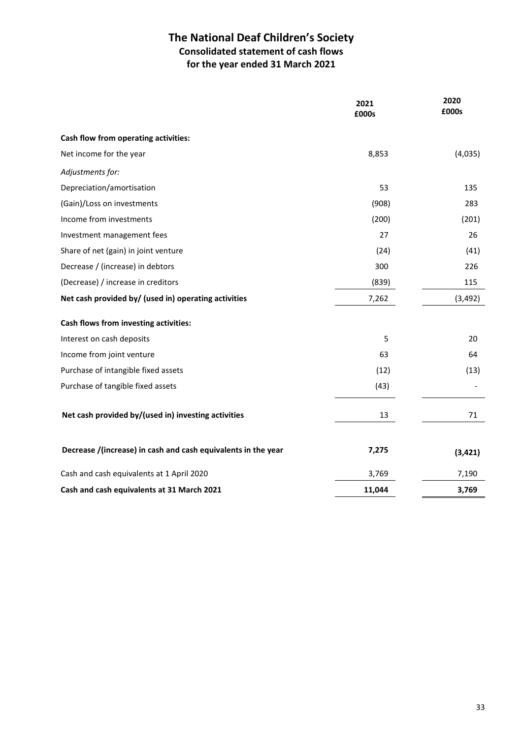# **The National Deaf Children's Society Consolidated statement of cash flows for the year ended 31 March 2021**

|                                                               | 2021<br>£000s | 2020<br>£000s |
|---------------------------------------------------------------|---------------|---------------|
| Cash flow from operating activities:                          |               |               |
| Net income for the year                                       | 8,853         | (4,035)       |
| Adjustments for:                                              |               |               |
| Depreciation/amortisation                                     | 53            | 135           |
| (Gain)/Loss on investments                                    | (908)         | 283           |
| Income from investments                                       | (200)         | (201)         |
| Investment management fees                                    | 27            | 26            |
| Share of net (gain) in joint venture                          | (24)          | (41)          |
| Decrease / (increase) in debtors                              | 300           | 226           |
| (Decrease) / increase in creditors                            | (839)         | 115           |
| Net cash provided by/ (used in) operating activities          | 7,262         | (3, 492)      |
| Cash flows from investing activities:                         |               |               |
| Interest on cash deposits                                     | 5             | 20            |
| Income from joint venture                                     | 63            | 64            |
| Purchase of intangible fixed assets                           | (12)          | (13)          |
| Purchase of tangible fixed assets                             | (43)          |               |
| Net cash provided by/(used in) investing activities           | 13            | 71            |
| Decrease /(increase) in cash and cash equivalents in the year | 7,275         | (3, 421)      |
| Cash and cash equivalents at 1 April 2020                     | 3,769         | 7,190         |
| Cash and cash equivalents at 31 March 2021                    | 11,044        | 3,769         |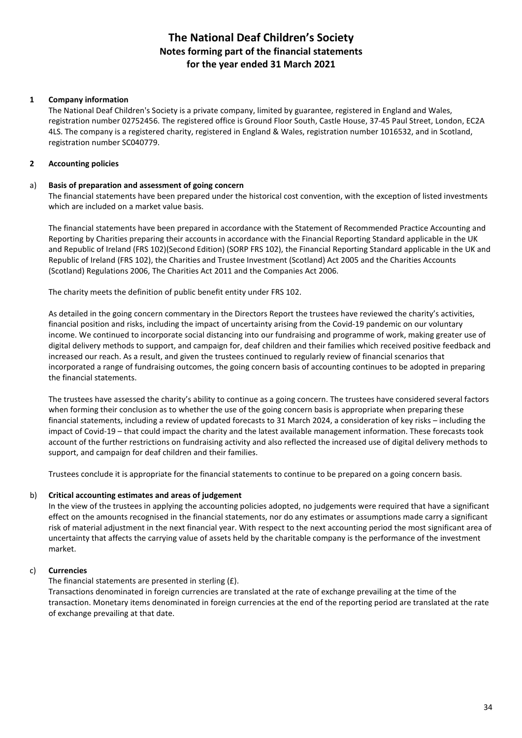### **1 Company information**

The National Deaf Children's Society is a private company, limited by guarantee, registered in England and Wales, registration number 02752456. The registered office is Ground Floor South, Castle House, 37-45 Paul Street, London, EC2A 4LS. The company is a registered charity, registered in England & Wales, registration number 1016532, and in Scotland, registration number SC040779.

#### **2 Accounting policies**

#### a) **Basis of preparation and assessment of going concern**

The financial statements have been prepared under the historical cost convention, with the exception of listed investments which are included on a market value basis.

The financial statements have been prepared in accordance with the Statement of Recommended Practice Accounting and Reporting by Charities preparing their accounts in accordance with the Financial Reporting Standard applicable in the UK and Republic of Ireland (FRS 102)(Second Edition) (SORP FRS 102), the Financial Reporting Standard applicable in the UK and Republic of Ireland (FRS 102), the Charities and Trustee Investment (Scotland) Act 2005 and the Charities Accounts (Scotland) Regulations 2006, The Charities Act 2011 and the Companies Act 2006.

The charity meets the definition of public benefit entity under FRS 102.

As detailed in the going concern commentary in the Directors Report the trustees have reviewed the charity's activities, financial position and risks, including the impact of uncertainty arising from the Covid-19 pandemic on our voluntary income. We continued to incorporate social distancing into our fundraising and programme of work, making greater use of digital delivery methods to support, and campaign for, deaf children and their families which received positive feedback and increased our reach. As a result, and given the trustees continued to regularly review of financial scenarios that incorporated a range of fundraising outcomes, the going concern basis of accounting continues to be adopted in preparing the financial statements.

The trustees have assessed the charity's ability to continue as a going concern. The trustees have considered several factors when forming their conclusion as to whether the use of the going concern basis is appropriate when preparing these financial statements, including a review of updated forecasts to 31 March 2024, a consideration of key risks – including the impact of Covid-19 – that could impact the charity and the latest available management information. These forecasts took account of the further restrictions on fundraising activity and also reflected the increased use of digital delivery methods to support, and campaign for deaf children and their families.

Trustees conclude it is appropriate for the financial statements to continue to be prepared on a going concern basis.

#### b) **Critical accounting estimates and areas of judgement**

In the view of the trustees in applying the accounting policies adopted, no judgements were required that have a significant effect on the amounts recognised in the financial statements, nor do any estimates or assumptions made carry a significant risk of material adjustment in the next financial year. With respect to the next accounting period the most significant area of uncertainty that affects the carrying value of assets held by the charitable company is the performance of the investment market.

#### c) **Currencies**

### The financial statements are presented in sterling (£).

Transactions denominated in foreign currencies are translated at the rate of exchange prevailing at the time of the transaction. Monetary items denominated in foreign currencies at the end of the reporting period are translated at the rate of exchange prevailing at that date.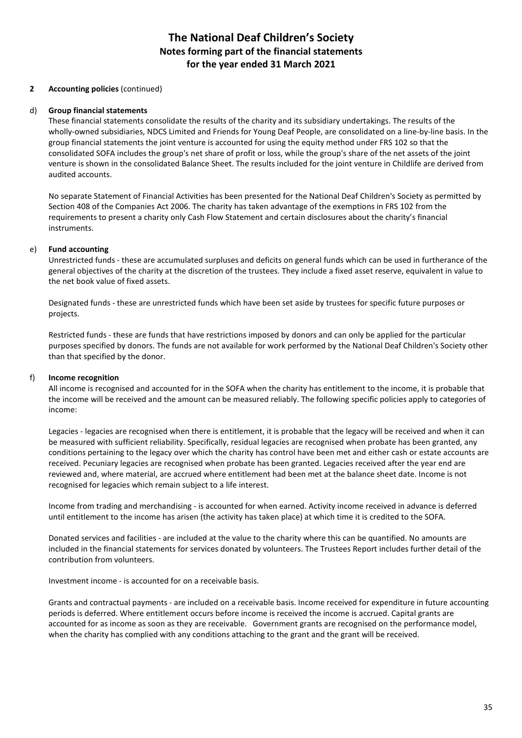### **2 Accounting policies** (continued)

#### d) **Group financial statements**

These financial statements consolidate the results of the charity and its subsidiary undertakings. The results of the wholly-owned subsidiaries, NDCS Limited and Friends for Young Deaf People, are consolidated on a line-by-line basis. In the group financial statements the joint venture is accounted for using the equity method under FRS 102 so that the consolidated SOFA includes the group's net share of profit or loss, while the group's share of the net assets of the joint venture is shown in the consolidated Balance Sheet. The results included for the joint venture in Childlife are derived from audited accounts.

No separate Statement of Financial Activities has been presented for the National Deaf Children's Society as permitted by Section 408 of the Companies Act 2006. The charity has taken advantage of the exemptions in FRS 102 from the requirements to present a charity only Cash Flow Statement and certain disclosures about the charity's financial instruments.

### e) **Fund accounting**

Unrestricted funds - these are accumulated surpluses and deficits on general funds which can be used in furtherance of the general objectives of the charity at the discretion of the trustees. They include a fixed asset reserve, equivalent in value to the net book value of fixed assets.

Designated funds - these are unrestricted funds which have been set aside by trustees for specific future purposes or projects.

Restricted funds - these are funds that have restrictions imposed by donors and can only be applied for the particular purposes specified by donors. The funds are not available for work performed by the National Deaf Children's Society other than that specified by the donor.

### f) **Income recognition**

All income is recognised and accounted for in the SOFA when the charity has entitlement to the income, it is probable that the income will be received and the amount can be measured reliably. The following specific policies apply to categories of income:

Legacies - legacies are recognised when there is entitlement, it is probable that the legacy will be received and when it can be measured with sufficient reliability. Specifically, residual legacies are recognised when probate has been granted, any conditions pertaining to the legacy over which the charity has control have been met and either cash or estate accounts are received. Pecuniary legacies are recognised when probate has been granted. Legacies received after the year end are reviewed and, where material, are accrued where entitlement had been met at the balance sheet date. Income is not recognised for legacies which remain subject to a life interest.

Income from trading and merchandising - is accounted for when earned. Activity income received in advance is deferred until entitlement to the income has arisen (the activity has taken place) at which time it is credited to the SOFA.

Donated services and facilities - are included at the value to the charity where this can be quantified. No amounts are included in the financial statements for services donated by volunteers. The Trustees Report includes further detail of the contribution from volunteers.

Investment income - is accounted for on a receivable basis.

Grants and contractual payments - are included on a receivable basis. Income received for expenditure in future accounting periods is deferred. Where entitlement occurs before income is received the income is accrued. Capital grants are accounted for as income as soon as they are receivable. Government grants are recognised on the performance model, when the charity has complied with any conditions attaching to the grant and the grant will be received.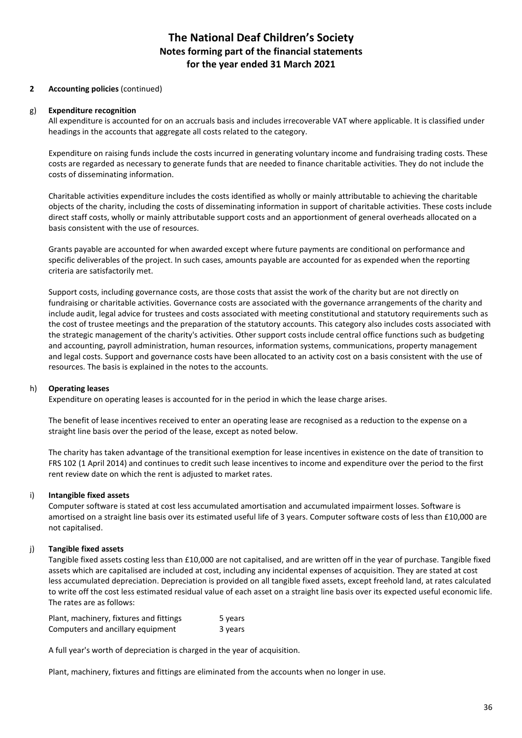### **2 Accounting policies** (continued)

#### g) **Expenditure recognition**

All expenditure is accounted for on an accruals basis and includes irrecoverable VAT where applicable. It is classified under headings in the accounts that aggregate all costs related to the category.

Expenditure on raising funds include the costs incurred in generating voluntary income and fundraising trading costs. These costs are regarded as necessary to generate funds that are needed to finance charitable activities. They do not include the costs of disseminating information.

Charitable activities expenditure includes the costs identified as wholly or mainly attributable to achieving the charitable objects of the charity, including the costs of disseminating information in support of charitable activities. These costs include direct staff costs, wholly or mainly attributable support costs and an apportionment of general overheads allocated on a basis consistent with the use of resources.

Grants payable are accounted for when awarded except where future payments are conditional on performance and specific deliverables of the project. In such cases, amounts payable are accounted for as expended when the reporting criteria are satisfactorily met.

Support costs, including governance costs, are those costs that assist the work of the charity but are not directly on fundraising or charitable activities. Governance costs are associated with the governance arrangements of the charity and include audit, legal advice for trustees and costs associated with meeting constitutional and statutory requirements such as the cost of trustee meetings and the preparation of the statutory accounts. This category also includes costs associated with the strategic management of the charity's activities. Other support costs include central office functions such as budgeting and accounting, payroll administration, human resources, information systems, communications, property management and legal costs. Support and governance costs have been allocated to an activity cost on a basis consistent with the use of resources. The basis is explained in the notes to the accounts.

### h) **Operating leases**

Expenditure on operating leases is accounted for in the period in which the lease charge arises.

The benefit of lease incentives received to enter an operating lease are recognised as a reduction to the expense on a straight line basis over the period of the lease, except as noted below.

The charity has taken advantage of the transitional exemption for lease incentives in existence on the date of transition to FRS 102 (1 April 2014) and continues to credit such lease incentives to income and expenditure over the period to the first rent review date on which the rent is adjusted to market rates.

### i) **Intangible fixed assets**

Computer software is stated at cost less accumulated amortisation and accumulated impairment losses. Software is amortised on a straight line basis over its estimated useful life of 3 years. Computer software costs of less than £10,000 are not capitalised.

### j) **Tangible fixed assets**

Tangible fixed assets costing less than £10,000 are not capitalised, and are written off in the year of purchase. Tangible fixed assets which are capitalised are included at cost, including any incidental expenses of acquisition. They are stated at cost less accumulated depreciation. Depreciation is provided on all tangible fixed assets, except freehold land, at rates calculated to write off the cost less estimated residual value of each asset on a straight line basis over its expected useful economic life. The rates are as follows:

| Plant, machinery, fixtures and fittings | 5 years |
|-----------------------------------------|---------|
| Computers and ancillary equipment       | 3 years |

A full year's worth of depreciation is charged in the year of acquisition.

Plant, machinery, fixtures and fittings are eliminated from the accounts when no longer in use.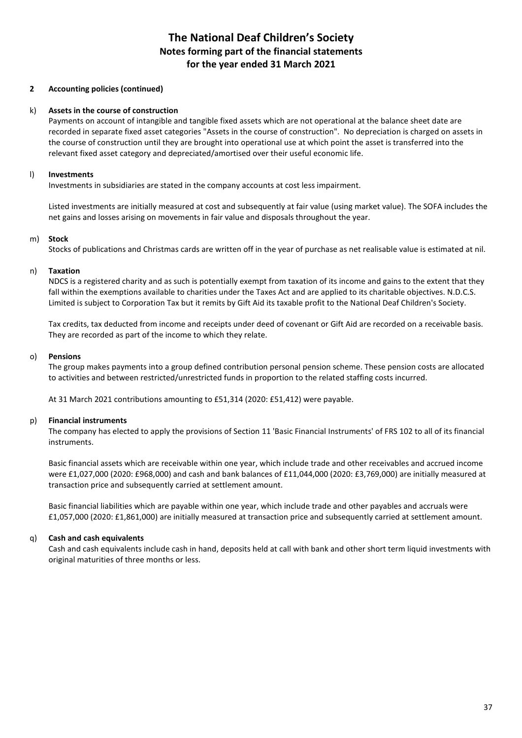#### **2 Accounting policies (continued)**

#### k) **Assets in the course of construction**

Payments on account of intangible and tangible fixed assets which are not operational at the balance sheet date are recorded in separate fixed asset categories "Assets in the course of construction". No depreciation is charged on assets in the course of construction until they are brought into operational use at which point the asset is transferred into the relevant fixed asset category and depreciated/amortised over their useful economic life.

#### l) **Investments**

Investments in subsidiaries are stated in the company accounts at cost less impairment.

Listed investments are initially measured at cost and subsequently at fair value (using market value). The SOFA includes the net gains and losses arising on movements in fair value and disposals throughout the year.

#### m) **Stock**

Stocks of publications and Christmas cards are written off in the year of purchase as net realisable value is estimated at nil.

#### n) **Taxation**

NDCS is a registered charity and as such is potentially exempt from taxation of its income and gains to the extent that they fall within the exemptions available to charities under the Taxes Act and are applied to its charitable objectives. N.D.C.S. Limited is subject to Corporation Tax but it remits by Gift Aid its taxable profit to the National Deaf Children's Society.

Tax credits, tax deducted from income and receipts under deed of covenant or Gift Aid are recorded on a receivable basis. They are recorded as part of the income to which they relate.

#### o) **Pensions**

The group makes payments into a group defined contribution personal pension scheme. These pension costs are allocated to activities and between restricted/unrestricted funds in proportion to the related staffing costs incurred.

At 31 March 2021 contributions amounting to £51,314 (2020: £51,412) were payable.

#### p) **Financial instruments**

The company has elected to apply the provisions of Section 11 'Basic Financial Instruments' of FRS 102 to all of its financial instruments.

Basic financial assets which are receivable within one year, which include trade and other receivables and accrued income were £1,027,000 (2020: £968,000) and cash and bank balances of £11,044,000 (2020: £3,769,000) are initially measured at transaction price and subsequently carried at settlement amount.

Basic financial liabilities which are payable within one year, which include trade and other payables and accruals were £1,057,000 (2020: £1,861,000) are initially measured at transaction price and subsequently carried at settlement amount.

### q) **Cash and cash equivalents**

Cash and cash equivalents include cash in hand, deposits held at call with bank and other short term liquid investments with original maturities of three months or less.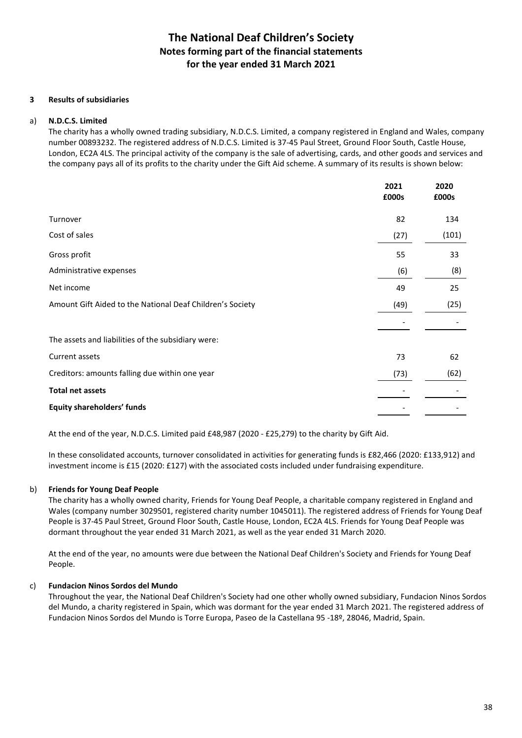#### **3 Results of subsidiaries**

#### a) **N.D.C.S. Limited**

The charity has a wholly owned trading subsidiary, N.D.C.S. Limited, a company registered in England and Wales, company number 00893232. The registered address of N.D.C.S. Limited is 37-45 Paul Street, Ground Floor South, Castle House, London, EC2A 4LS. The principal activity of the company is the sale of advertising, cards, and other goods and services and the company pays all of its profits to the charity under the Gift Aid scheme. A summary of its results is shown below:

|                                                           | 2021<br>£000s | 2020<br>£000s |
|-----------------------------------------------------------|---------------|---------------|
| Turnover                                                  | 82            | 134           |
| Cost of sales                                             | (27)          | (101)         |
| Gross profit                                              | 55            | 33            |
| Administrative expenses                                   | (6)           | (8)           |
| Net income                                                | 49            | 25            |
| Amount Gift Aided to the National Deaf Children's Society | (49)          | (25)          |
|                                                           |               |               |
| The assets and liabilities of the subsidiary were:        |               |               |
| Current assets                                            | 73            | 62            |
| Creditors: amounts falling due within one year            | (73)          | (62)          |
| <b>Total net assets</b>                                   |               |               |
| <b>Equity shareholders' funds</b>                         |               |               |

At the end of the year, N.D.C.S. Limited paid £48,987 (2020 - £25,279) to the charity by Gift Aid.

In these consolidated accounts, turnover consolidated in activities for generating funds is £82,466 (2020: £133,912) and investment income is £15 (2020: £127) with the associated costs included under fundraising expenditure.

#### b) **Friends for Young Deaf People**

 The charity has a wholly owned charity, Friends for Young Deaf People, a charitable company registered in England and Wales (company number 3029501, registered charity number 1045011). The registered address of Friends for Young Deaf People is 37-45 Paul Street, Ground Floor South, Castle House, London, EC2A 4LS. Friends for Young Deaf People was dormant throughout the year ended 31 March 2021, as well as the year ended 31 March 2020.

At the end of the year, no amounts were due between the National Deaf Children's Society and Friends for Young Deaf People.

#### c) **Fundacion Ninos Sordos del Mundo**

Throughout the year, the National Deaf Children's Society had one other wholly owned subsidiary, Fundacion Ninos Sordos del Mundo, a charity registered in Spain, which was dormant for the year ended 31 March 2021. The registered address of Fundacion Ninos Sordos del Mundo is Torre Europa, Paseo de la Castellana 95 -18º, 28046, Madrid, Spain.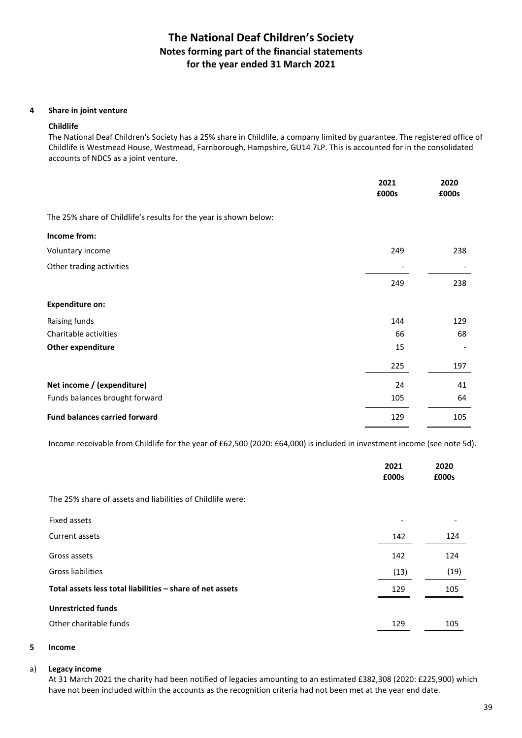#### **4 Share in joint venture**

#### **Childlife**

The National Deaf Children's Society has a 25% share in Childlife, a company limited by guarantee. The registered office of Childlife is Westmead House, Westmead, Farnborough, Hampshire, GU14 7LP. This is accounted for in the consolidated accounts of NDCS as a joint venture.

|                                                                   | 2021<br>£000s | 2020<br>£000s |
|-------------------------------------------------------------------|---------------|---------------|
| The 25% share of Childlife's results for the year is shown below: |               |               |
| Income from:                                                      |               |               |
| Voluntary income                                                  | 249           | 238           |
| Other trading activities                                          |               |               |
|                                                                   | 249           | 238           |
| <b>Expenditure on:</b>                                            |               |               |
| Raising funds                                                     | 144           | 129           |
| Charitable activities                                             | 66            | 68            |
| Other expenditure                                                 | 15            |               |
|                                                                   | 225           | 197           |
| Net income / (expenditure)                                        | 24            | 41            |
| Funds balances brought forward                                    | 105           | 64            |
| <b>Fund balances carried forward</b>                              | 129           | 105           |

Income receivable from Childlife for the year of £62,500 (2020: £64,000) is included in investment income (see note 5d).

| 2021<br>£000s | 2020<br>£000s |
|---------------|---------------|
|               |               |
|               |               |
| 142           | 124           |
| 142           | 124           |
| (13)          | (19)          |
| 129           | 105           |
|               |               |
| 129           | 105           |
|               |               |

#### **5 Income**

#### a) **Legacy income**

At 31 March 2021 the charity had been notified of legacies amounting to an estimated £382,308 (2020: £225,900) which have not been included within the accounts as the recognition criteria had not been met at the year end date.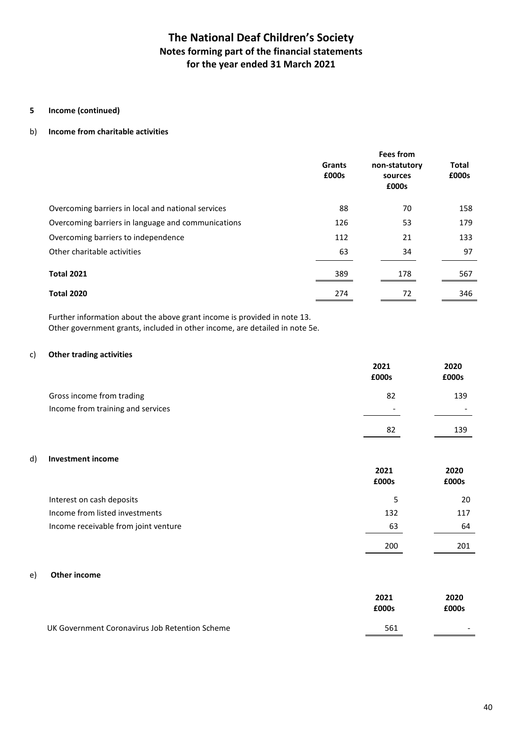### **5 Income (continued)**

#### b) **Income from charitable activities**

|                                                    | <b>Grants</b><br>£000s | <b>Fees from</b><br>non-statutory<br>sources<br>£000s | Total<br>£000s |
|----------------------------------------------------|------------------------|-------------------------------------------------------|----------------|
| Overcoming barriers in local and national services | 88                     | 70                                                    | 158            |
| Overcoming barriers in language and communications | 126                    | 53                                                    | 179            |
| Overcoming barriers to independence                | 112                    | 21                                                    | 133            |
| Other charitable activities                        | 63                     | 34                                                    | 97             |
| <b>Total 2021</b>                                  | 389                    | 178                                                   | 567            |
| <b>Total 2020</b>                                  | 274                    | 72                                                    | 346            |

Further information about the above grant income is provided in note 13. Other government grants, included in other income, are detailed in note 5e.

#### c) **Other trading activities**

|                                   | 2021<br>£000s            | 2020<br>£000s |
|-----------------------------------|--------------------------|---------------|
| Gross income from trading         | 82                       | 139           |
| Income from training and services | $\overline{\phantom{0}}$ |               |
|                                   | 82                       | 139           |

#### d) **Investment income**

|                                      | 2021<br>£000s | 2020<br>£000s |
|--------------------------------------|---------------|---------------|
| Interest on cash deposits            |               | 20            |
| Income from listed investments       | 132           | 117           |
| Income receivable from joint venture | 63            | 64            |
|                                      | 200           | 201           |

#### e) **Other income**

|                                                | 2021<br>£000s | 2020<br>£000s            |
|------------------------------------------------|---------------|--------------------------|
| UK Government Coronavirus Job Retention Scheme | 561           | $\overline{\phantom{0}}$ |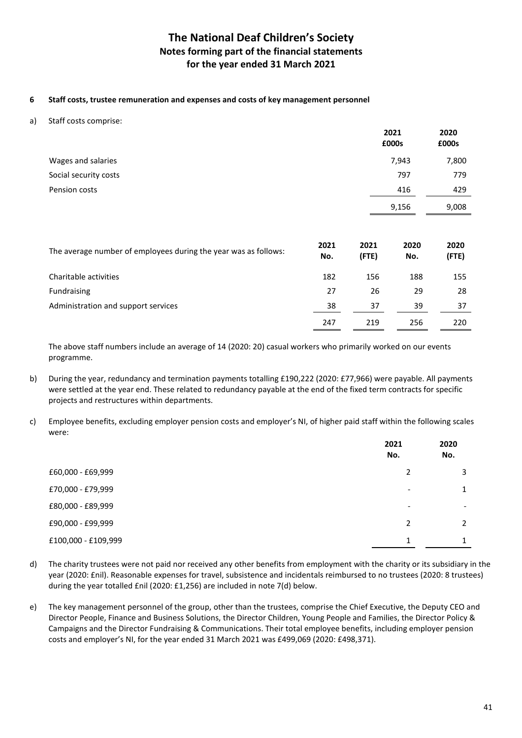### **6 Staff costs, trustee remuneration and expenses and costs of key management personnel**

a) Staff costs comprise:

|                                                                 |             |               | 2021<br>£000s | 2020<br>£000s |
|-----------------------------------------------------------------|-------------|---------------|---------------|---------------|
| Wages and salaries                                              |             |               | 7,943         | 7,800         |
| Social security costs                                           |             |               | 797           | 779           |
| Pension costs                                                   |             |               | 416           | 429           |
|                                                                 |             |               | 9,156         | 9,008         |
|                                                                 |             |               |               |               |
| The average number of employees during the year was as follows: | 2021<br>No. | 2021<br>(FTE) | 2020<br>No.   | 2020<br>(FTE) |
| Charitable activities                                           | 182         | 156           | 188           | 155           |
| Fundraising                                                     | 27          | 26            | 29            | 28            |
| Administration and support services                             | 38          | 37            | 39            | 37            |

The above staff numbers include an average of 14 (2020: 20) casual workers who primarily worked on our events programme.

247 219 256 220

- b) During the year, redundancy and termination payments totalling £190,222 (2020: £77,966) were payable. All payments were settled at the year end. These related to redundancy payable at the end of the fixed term contracts for specific projects and restructures within departments.
- c) Employee benefits, excluding employer pension costs and employer's NI, of higher paid staff within the following scales were:

|                     | 2021<br>No.              | 2020<br>No.   |
|---------------------|--------------------------|---------------|
| £60,000 - £69,999   | 2                        | 3             |
| £70,000 - £79,999   | $\overline{\phantom{0}}$ | 1             |
| £80,000 - £89,999   | $\overline{\phantom{0}}$ |               |
| £90,000 - £99,999   | $\mathcal{P}$            | $\mathcal{P}$ |
| £100,000 - £109,999 | 1                        |               |

- d) The charity trustees were not paid nor received any other benefits from employment with the charity or its subsidiary in the year (2020: £nil). Reasonable expenses for travel, subsistence and incidentals reimbursed to no trustees (2020: 8 trustees) during the year totalled £nil (2020: £1,256) are included in note 7(d) below.
- e) The key management personnel of the group, other than the trustees, comprise the Chief Executive, the Deputy CEO and Director People, Finance and Business Solutions, the Director Children, Young People and Families, the Director Policy & Campaigns and the Director Fundraising & Communications. Their total employee benefits, including employer pension costs and employer's NI, for the year ended 31 March 2021 was £499,069 (2020: £498,371).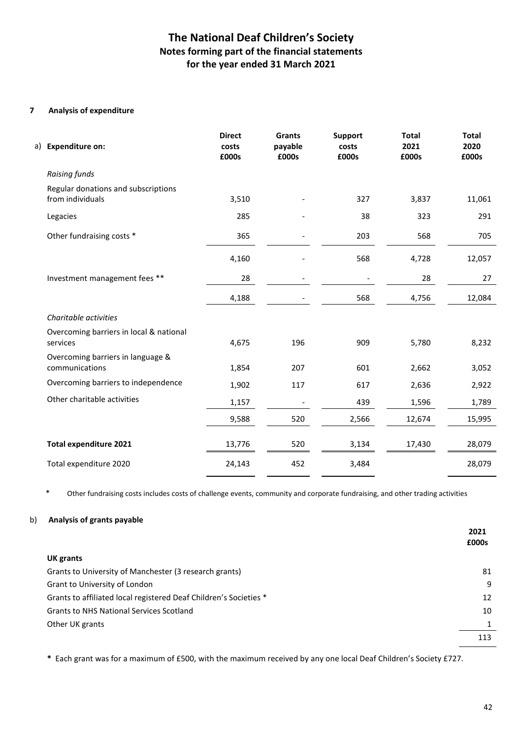### **7 Analysis of expenditure**

| a) Expenditure on:                                      | <b>Direct</b><br>costs<br>£000s | Grants<br>payable<br>£000s | <b>Support</b><br>costs<br>£000s | <b>Total</b><br>2021<br>£000s | <b>Total</b><br>2020<br>£000s |
|---------------------------------------------------------|---------------------------------|----------------------------|----------------------------------|-------------------------------|-------------------------------|
| Raising funds                                           |                                 |                            |                                  |                               |                               |
| Regular donations and subscriptions<br>from individuals | 3,510                           |                            | 327                              | 3,837                         | 11,061                        |
| Legacies                                                | 285                             |                            | 38                               | 323                           | 291                           |
| Other fundraising costs *                               | 365                             |                            | 203                              | 568                           | 705                           |
|                                                         | 4,160                           |                            | 568                              | 4,728                         | 12,057                        |
| Investment management fees **                           | 28                              |                            |                                  | 28                            | 27                            |
|                                                         | 4,188                           |                            | 568                              | 4,756                         | 12,084                        |
| Charitable activities                                   |                                 |                            |                                  |                               |                               |
| Overcoming barriers in local & national<br>services     | 4,675                           | 196                        | 909                              | 5,780                         | 8,232                         |
| Overcoming barriers in language &<br>communications     | 1,854                           | 207                        | 601                              | 2,662                         | 3,052                         |
| Overcoming barriers to independence                     | 1,902                           | 117                        | 617                              | 2,636                         | 2,922                         |
| Other charitable activities                             | 1,157                           |                            | 439                              | 1,596                         | 1,789                         |
|                                                         | 9,588                           | 520                        | 2,566                            | 12,674                        | 15,995                        |
| <b>Total expenditure 2021</b>                           | 13,776                          | 520                        | 3,134                            | 17,430                        | 28,079                        |
| Total expenditure 2020                                  | 24,143                          | 452                        | 3,484                            |                               | 28,079                        |

\* Other fundraising costs includes costs of challenge events, community and corporate fundraising, and other trading activities

### b) **Analysis of grants payable**

|                                                                   | 2021<br>£000s |
|-------------------------------------------------------------------|---------------|
| UK grants                                                         |               |
| Grants to University of Manchester (3 research grants)            | 81            |
| Grant to University of London                                     | 9             |
| Grants to affiliated local registered Deaf Children's Societies * | 12            |
| <b>Grants to NHS National Services Scotland</b>                   | 10            |
| Other UK grants                                                   | 1             |
|                                                                   | 113           |

**\*** Each grant was for a maximum of £500, with the maximum received by any one local Deaf Children's Society £727.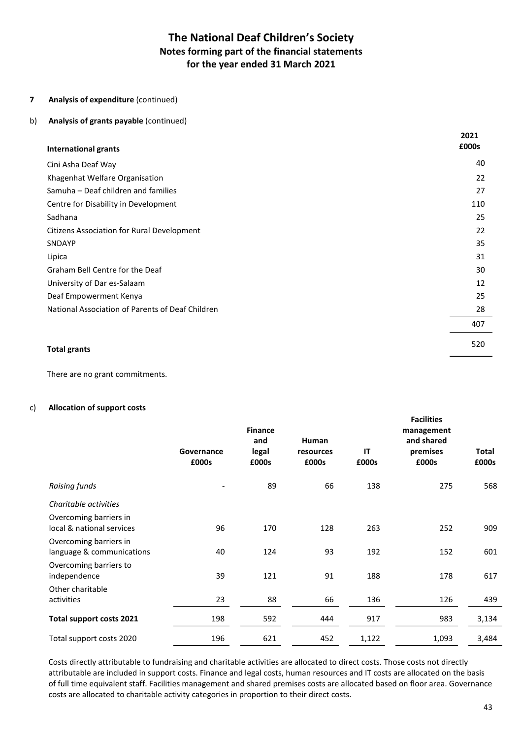### **7 Analysis of expenditure** (continued)

### b) **Analysis of grants payable** (continued)

| <b>International grants</b>                      | 2021<br>£000s |
|--------------------------------------------------|---------------|
| Cini Asha Deaf Way                               | 40            |
| Khagenhat Welfare Organisation                   | 22            |
| Samuha – Deaf children and families              | 27            |
| Centre for Disability in Development             | 110           |
| Sadhana                                          | 25            |
| Citizens Association for Rural Development       | 22            |
| <b>SNDAYP</b>                                    | 35            |
| Lipica                                           | 31            |
| Graham Bell Centre for the Deaf                  | 30            |
| University of Dar es-Salaam                      | 12            |
| Deaf Empowerment Kenya                           | 25            |
| National Association of Parents of Deaf Children | 28            |
|                                                  | 407           |
| <b>Total grants</b>                              | 520           |

There are no grant commitments.

#### c) **Allocation of support costs**

|                                                     | Governance<br>£000s | <b>Finance</b><br>and<br>legal<br>£000s | Human<br>resources<br>£000s | IT<br>£000s | <b>Facilities</b><br>management<br>and shared<br>premises<br>£000s | <b>Total</b><br>£000s |
|-----------------------------------------------------|---------------------|-----------------------------------------|-----------------------------|-------------|--------------------------------------------------------------------|-----------------------|
| Raising funds                                       |                     | 89                                      | 66                          | 138         | 275                                                                | 568                   |
| Charitable activities                               |                     |                                         |                             |             |                                                                    |                       |
| Overcoming barriers in<br>local & national services | 96                  | 170                                     | 128                         | 263         | 252                                                                | 909                   |
| Overcoming barriers in<br>language & communications | 40                  | 124                                     | 93                          | 192         | 152                                                                | 601                   |
| Overcoming barriers to<br>independence              | 39                  | 121                                     | 91                          | 188         | 178                                                                | 617                   |
| Other charitable                                    |                     |                                         |                             |             |                                                                    |                       |
| activities                                          | 23                  | 88                                      | 66                          | 136         | 126                                                                | 439                   |
| <b>Total support costs 2021</b>                     | 198                 | 592                                     | 444                         | 917         | 983                                                                | 3,134                 |
| Total support costs 2020                            | 196                 | 621                                     | 452                         | 1,122       | 1,093                                                              | 3,484                 |

Costs directly attributable to fundraising and charitable activities are allocated to direct costs. Those costs not directly attributable are included in support costs. Finance and legal costs, human resources and IT costs are allocated on the basis of full time equivalent staff. Facilities management and shared premises costs are allocated based on floor area. Governance costs are allocated to charitable activity categories in proportion to their direct costs.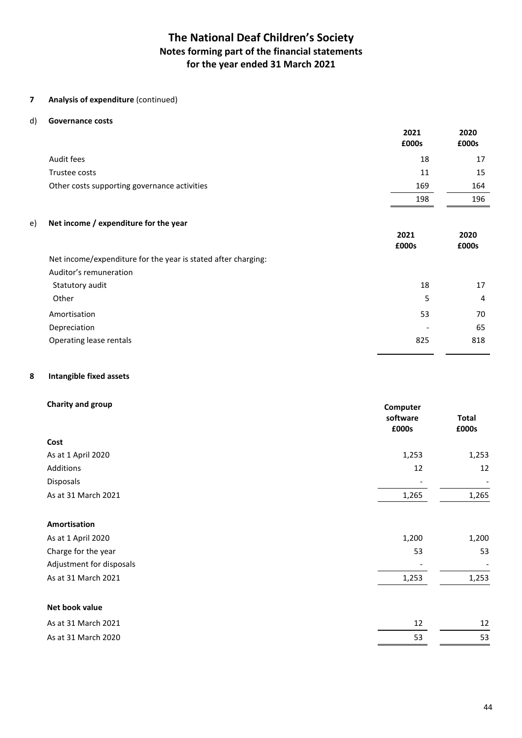### **7 Analysis of expenditure** (continued)

#### d) **Governance costs**

|                                                               | 2021<br>£000s | 2020<br>£000s |
|---------------------------------------------------------------|---------------|---------------|
| Audit fees                                                    | 18            | 17            |
| Trustee costs                                                 | 11            | 15            |
| Other costs supporting governance activities                  | 169           | 164           |
|                                                               | 198           | 196           |
| Net income / expenditure for the year<br>e)                   |               |               |
|                                                               | 2021          | 2020          |
|                                                               | £000s         | £000s         |
| Net income/expenditure for the year is stated after charging: |               |               |
| Auditor's remuneration                                        |               |               |
| Statutory audit                                               | 18            | 17            |
| Other                                                         | 5             | 4             |
| Amortisation                                                  | 53            | 70            |
| Depreciation                                                  |               | 65            |
| Operating lease rentals                                       | 825           | 818           |

#### **8 Intangible fixed assets**

| Charity and group        | Computer<br>software<br>£000s | <b>Total</b><br>£000s |
|--------------------------|-------------------------------|-----------------------|
| Cost                     |                               |                       |
| As at 1 April 2020       | 1,253                         | 1,253                 |
| Additions                | 12                            | 12                    |
| Disposals                |                               |                       |
| As at 31 March 2021      | 1,265                         | 1,265                 |
| Amortisation             |                               |                       |
| As at 1 April 2020       | 1,200                         | 1,200                 |
| Charge for the year      | 53                            | 53                    |
| Adjustment for disposals |                               |                       |
| As at 31 March 2021      | 1,253                         | 1,253                 |
| Net book value           |                               |                       |
| As at 31 March 2021      | 12                            | 12                    |
| As at 31 March 2020      | 53                            | 53                    |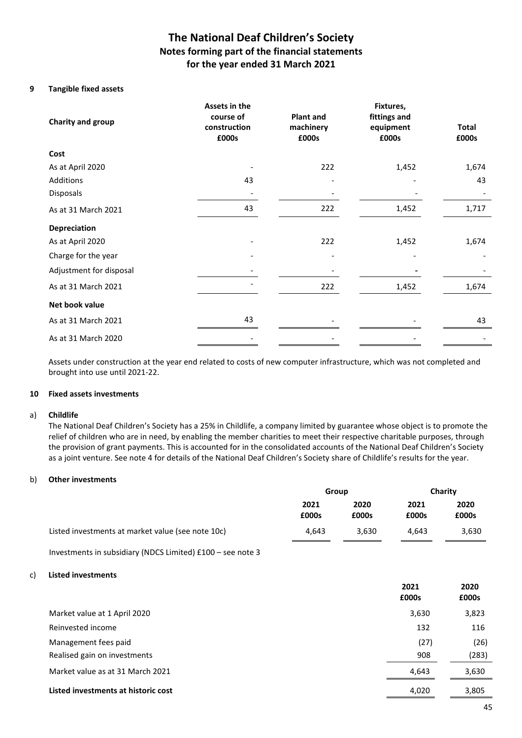### **9 Tangible fixed assets**

| Charity and group       | Assets in the<br>course of<br>construction<br>£000s | <b>Plant and</b><br>machinery<br>£000s |       | <b>Total</b><br>£000s |  |
|-------------------------|-----------------------------------------------------|----------------------------------------|-------|-----------------------|--|
| Cost                    |                                                     |                                        |       |                       |  |
| As at April 2020        |                                                     | 222                                    | 1,452 | 1,674                 |  |
| Additions               | 43                                                  |                                        |       | 43                    |  |
| Disposals               |                                                     |                                        |       |                       |  |
| As at 31 March 2021     | 43                                                  | 222                                    | 1,452 | 1,717                 |  |
| Depreciation            |                                                     |                                        |       |                       |  |
| As at April 2020        |                                                     | 222                                    | 1,452 | 1,674                 |  |
| Charge for the year     |                                                     |                                        |       |                       |  |
| Adjustment for disposal |                                                     |                                        |       |                       |  |
| As at 31 March 2021     |                                                     | 222                                    | 1,452 | 1,674                 |  |
| Net book value          |                                                     |                                        |       |                       |  |
| As at 31 March 2021     | 43                                                  |                                        |       | 43                    |  |
| As at 31 March 2020     |                                                     |                                        |       |                       |  |

Assets under construction at the year end related to costs of new computer infrastructure, which was not completed and brought into use until 2021-22.

#### **10 Fixed assets investments**

#### a) **Childlife**

The National Deaf Children's Society has a 25% in Childlife, a company limited by guarantee whose object is to promote the relief of children who are in need, by enabling the member charities to meet their respective charitable purposes, through the provision of grant payments. This is accounted for in the consolidated accounts of the National Deaf Children's Society as a joint venture. See note 4 for details of the National Deaf Children's Society share of Childlife's results for the year.

#### b) **Other investments**

|    |                                                            | Group         |               | Charity       |               |
|----|------------------------------------------------------------|---------------|---------------|---------------|---------------|
|    |                                                            | 2021<br>£000s | 2020<br>£000s | 2021<br>£000s | 2020<br>£000s |
|    | Listed investments at market value (see note 10c)          | 4,643         | 3,630         | 4,643         | 3,630         |
|    | Investments in subsidiary (NDCS Limited) £100 - see note 3 |               |               |               |               |
| c) | <b>Listed investments</b>                                  |               |               |               |               |
|    |                                                            |               |               | 2021<br>£000s | 2020<br>£000s |
|    | Market value at 1 April 2020                               |               |               | 3,630         | 3,823         |
|    | Reinvested income                                          |               |               | 132           | 116           |
|    | Management fees paid                                       |               |               | (27)          | (26)          |
|    | Realised gain on investments                               |               |               | 908           | (283)         |
|    | Market value as at 31 March 2021                           |               |               | 4,643         | 3,630         |
|    | Listed investments at historic cost                        |               |               | 4,020         | 3,805         |
|    |                                                            |               |               |               |               |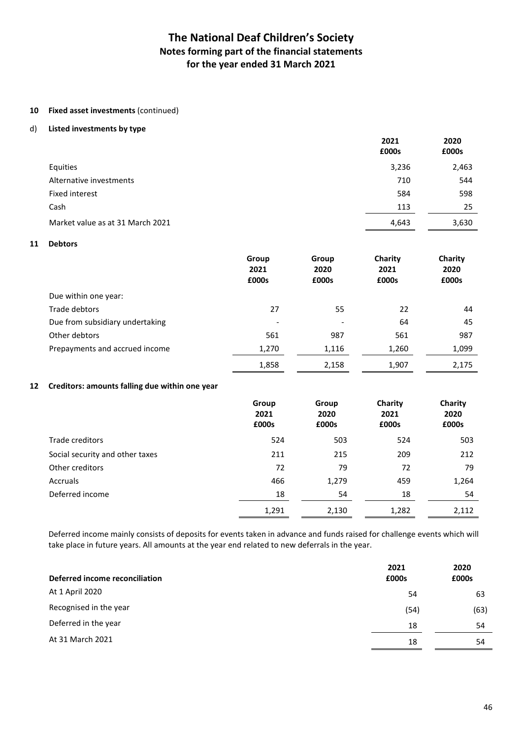#### **10 Fixed asset investments** (continued)

#### d) **Listed investments by type**

|                                  | 2021<br>£000s | 2020<br>£000s |
|----------------------------------|---------------|---------------|
| Equities                         | 3,236         | 2,463         |
| Alternative investments          | 710           | 544           |
| <b>Fixed interest</b>            | 584           | 598           |
| Cash                             | 113           | 25            |
| Market value as at 31 March 2021 | 4,643         | 3,630         |

#### **11 Debtors**

|                                 | Group<br>2021<br>£000s   | Group<br>2020<br>£000s | Charity<br>2021<br>£000s | Charity<br>2020<br>£000s |
|---------------------------------|--------------------------|------------------------|--------------------------|--------------------------|
| Due within one year:            |                          |                        |                          |                          |
| Trade debtors                   | 27                       | 55                     | 22                       | 44                       |
| Due from subsidiary undertaking | $\overline{\phantom{a}}$ |                        | 64                       | 45                       |
| Other debtors                   | 561                      | 987                    | 561                      | 987                      |
| Prepayments and accrued income  | 1,270                    | 1,116                  | 1,260                    | 1,099                    |
|                                 | 1,858                    | 2,158                  | 1,907                    | 2,175                    |

### **12 Creditors: amounts falling due within one year**

|                                 | Group<br>2021<br>£000s | Group<br>2020<br>£000s | Charity<br>2021<br>£000s | Charity<br>2020<br>£000s |
|---------------------------------|------------------------|------------------------|--------------------------|--------------------------|
| Trade creditors                 | 524                    | 503                    | 524                      | 503                      |
| Social security and other taxes | 211                    | 215                    | 209                      | 212                      |
| Other creditors                 | 72                     | 79                     | 72                       | 79                       |
| Accruals                        | 466                    | 1,279                  | 459                      | 1,264                    |
| Deferred income                 | 18                     | 54                     | 18                       | 54                       |
|                                 | 1,291                  | 2,130                  | 1,282                    | 2,112                    |

 Deferred income mainly consists of deposits for events taken in advance and funds raised for challenge events which will take place in future years. All amounts at the year end related to new deferrals in the year.

| Deferred income reconciliation | 2021<br>£000s | 2020<br>£000s |
|--------------------------------|---------------|---------------|
| At 1 April 2020                | 54            | 63            |
| Recognised in the year         | (54)          | (63)          |
| Deferred in the year           | 18            | 54            |
| At 31 March 2021               | 18            | 54            |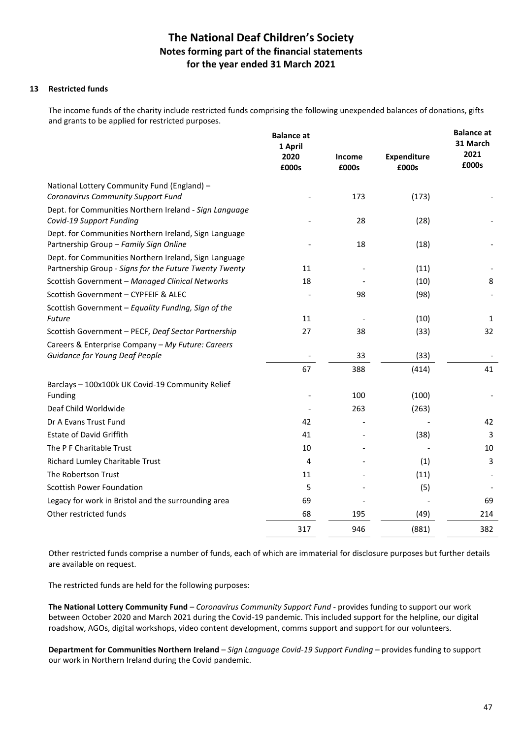### **13 Restricted funds**

The income funds of the charity include restricted funds comprising the following unexpended balances of donations, gifts and grants to be applied for restricted purposes.

|                                                                                                                 | <b>Balance at</b><br>1 April<br>2020<br>£000s | <b>Income</b><br>£000s | <b>Expenditure</b><br>£000s | <b>Balance at</b><br>31 March<br>2021<br>£000s |
|-----------------------------------------------------------------------------------------------------------------|-----------------------------------------------|------------------------|-----------------------------|------------------------------------------------|
|                                                                                                                 |                                               |                        |                             |                                                |
| National Lottery Community Fund (England) -<br>Coronavirus Community Support Fund                               |                                               | 173                    | (173)                       |                                                |
| Dept. for Communities Northern Ireland - Sign Language<br>Covid-19 Support Funding                              |                                               | 28                     | (28)                        |                                                |
| Dept. for Communities Northern Ireland, Sign Language<br>Partnership Group - Family Sign Online                 |                                               | 18                     | (18)                        |                                                |
| Dept. for Communities Northern Ireland, Sign Language<br>Partnership Group - Signs for the Future Twenty Twenty | 11                                            |                        | (11)                        |                                                |
| Scottish Government - Managed Clinical Networks                                                                 | 18                                            |                        | (10)                        | 8                                              |
| Scottish Government - CYPFEIF & ALEC                                                                            |                                               | 98                     | (98)                        |                                                |
| Scottish Government – Equality Funding, Sign of the                                                             |                                               |                        |                             |                                                |
| <b>Future</b>                                                                                                   | 11                                            |                        | (10)                        | 1                                              |
| Scottish Government - PECF, Deaf Sector Partnership                                                             | 27                                            | 38                     | (33)                        | 32                                             |
| Careers & Enterprise Company - My Future: Careers                                                               |                                               |                        |                             |                                                |
| Guidance for Young Deaf People                                                                                  |                                               | 33                     | (33)                        |                                                |
|                                                                                                                 | 67                                            | 388                    | (414)                       | 41                                             |
| Barclays - 100x100k UK Covid-19 Community Relief<br>Funding                                                     |                                               | 100                    | (100)                       |                                                |
| Deaf Child Worldwide                                                                                            |                                               | 263                    | (263)                       |                                                |
| Dr A Evans Trust Fund                                                                                           | 42                                            |                        |                             | 42                                             |
| <b>Estate of David Griffith</b>                                                                                 | 41                                            |                        | (38)                        | 3                                              |
| The P F Charitable Trust                                                                                        | 10                                            |                        |                             | 10                                             |
| Richard Lumley Charitable Trust                                                                                 | 4                                             |                        | (1)                         | 3                                              |
| The Robertson Trust                                                                                             | 11                                            |                        | (11)                        |                                                |
| <b>Scottish Power Foundation</b>                                                                                | 5                                             |                        | (5)                         |                                                |
| Legacy for work in Bristol and the surrounding area                                                             | 69                                            |                        |                             | 69                                             |
| Other restricted funds                                                                                          | 68                                            | 195                    | (49)                        | 214                                            |
|                                                                                                                 | 317                                           | 946                    | (881)                       | 382                                            |

 Other restricted funds comprise a number of funds, each of which are immaterial for disclosure purposes but further details are available on request.

The restricted funds are held for the following purposes:

**The National Lottery Community Fund** – *Coronavirus Community Support Fund -* provides funding to support our work between October 2020 and March 2021 during the Covid-19 pandemic. This included support for the helpline, our digital roadshow, AGOs, digital workshops, video content development, comms support and support for our volunteers.

**Department for Communities Northern Ireland** – *Sign Language Covid-19 Support Funding –* provides funding to support our work in Northern Ireland during the Covid pandemic.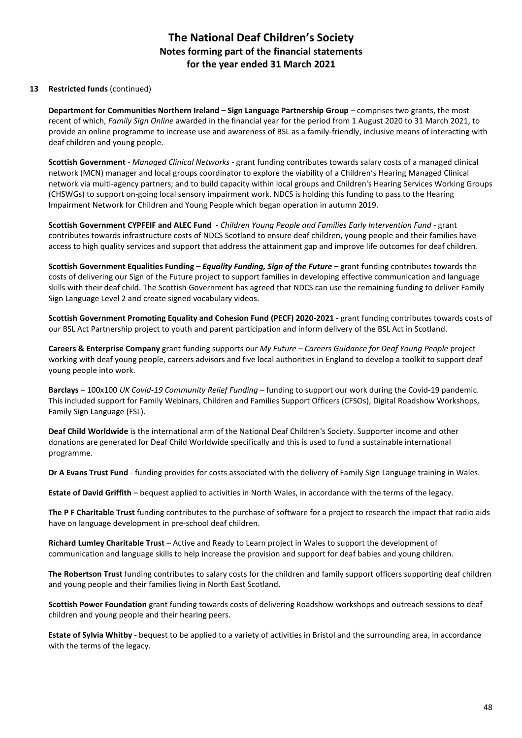### **13 Restricted funds** (continued)

**Department for Communities Northern Ireland – Sign Language Partnership Group** – comprises two grants, the most recent of which, *Family Sign Online* awarded in the financial year for the period from 1 August 2020 to 31 March 2021, to provide an online programme to increase use and awareness of BSL as a family-friendly, inclusive means of interacting with deaf children and young people.

**Scottish Government** - *Managed Clinical Networks* - grant funding contributes towards salary costs of a managed clinical network (MCN) manager and local groups coordinator to explore the viability of a Children's Hearing Managed Clinical network via multi-agency partners; and to build capacity within local groups and Children's Hearing Services Working Groups (CHSWGs) to support on-going local sensory impairment work. NDCS is holding this funding to pass to the Hearing Impairment Network for Children and Young People which began operation in autumn 2019.

**Scottish Government CYPFEIF and ALEC Fund** - *Children Young People and Families Early Intervention Fund* - grant contributes towards infrastructure costs of NDCS Scotland to ensure deaf children, young people and their families have access to high quality services and support that address the attainment gap and improve life outcomes for deaf children.

 **Scottish Government Equalities Funding** *– Equality Funding, Sign of the Future* **–** grant funding contributes towards the costs of delivering our Sign of the Future project to support families in developing effective communication and language skills with their deaf child. The Scottish Government has agreed that NDCS can use the remaining funding to deliver Family Sign Language Level 2 and create signed vocabulary videos.

**Scottish Government Promoting Equality and Cohesion Fund (PECF) 2020-2021 -** grant funding contributes towards costs of our BSL Act Partnership project to youth and parent participation and inform delivery of the BSL Act in Scotland.

**Careers & Enterprise Company** grant funding supports our *My Future – Careers Guidance for Deaf Young People* project working with deaf young people, careers advisors and five local authorities in England to develop a toolkit to support deaf young people into work.

 **Barclays** – 100x100 *UK Covid-19 Community Relief Funding* – funding to support our work during the Covid-19 pandemic. This included support for Family Webinars, Children and Families Support Officers (CFSOs), Digital Roadshow Workshops, Family Sign Language (FSL).

**Deaf Child Worldwide** is the international arm of the National Deaf Children's Society. Supporter income and other donations are generated for Deaf Child Worldwide specifically and this is used to fund a sustainable international programme.

**Dr A Evans Trust Fund** - funding provides for costs associated with the delivery of Family Sign Language training in Wales.

**Estate of David Griffith** – bequest applied to activities in North Wales, in accordance with the terms of the legacy.

**The P F Charitable Trust** funding contributes to the purchase of software for a project to research the impact that radio aids have on language development in pre-school deaf children.

**Richard Lumley Charitable Trust** – Active and Ready to Learn project in Wales to support the development of communication and language skills to help increase the provision and support for deaf babies and young children.

**The Robertson Trust** funding contributes to salary costs for the children and family support officers supporting deaf children and young people and their families living in North East Scotland.

**Scottish Power Foundation** grant funding towards costs of delivering Roadshow workshops and outreach sessions to deaf children and young people and their hearing peers.

**Estate of Sylvia Whitby** - bequest to be applied to a variety of activities in Bristol and the surrounding area, in accordance with the terms of the legacy.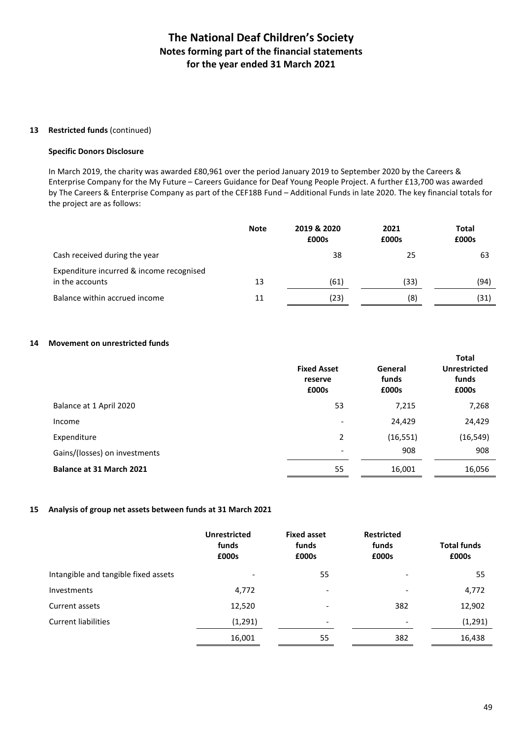#### **13 Restricted funds** (continued)

#### **Specific Donors Disclosure**

In March 2019, the charity was awarded £80,961 over the period January 2019 to September 2020 by the Careers & Enterprise Company for the My Future – Careers Guidance for Deaf Young People Project. A further £13,700 was awarded by The Careers & Enterprise Company as part of the CEF18B Fund – Additional Funds in late 2020. The key financial totals for the project are as follows:

|                                                             | <b>Note</b> | 2019 & 2020<br>£000s | 2021<br>£000s | <b>Total</b><br>£000s |
|-------------------------------------------------------------|-------------|----------------------|---------------|-----------------------|
| Cash received during the year                               |             | 38                   | 25            | 63                    |
| Expenditure incurred & income recognised<br>in the accounts | 13          | (61)                 | (33)          | (94)                  |
| Balance within accrued income                               | 11          | (23)                 | (8)           | (31)                  |

### **14 Movement on unrestricted funds**

|                               | <b>Fixed Asset</b><br>reserve<br>£000s | General<br>funds<br>£000s | <b>Total</b><br><b>Unrestricted</b><br>funds<br>£000s |
|-------------------------------|----------------------------------------|---------------------------|-------------------------------------------------------|
| Balance at 1 April 2020       | 53                                     | 7,215                     | 7,268                                                 |
| Income                        |                                        | 24,429                    | 24,429                                                |
| Expenditure                   | $\overline{2}$                         | (16, 551)                 | (16, 549)                                             |
| Gains/(losses) on investments |                                        | 908                       | 908                                                   |
| Balance at 31 March 2021      | 55                                     | 16,001                    | 16,056                                                |

### **15 Analysis of group net assets between funds at 31 March 2021**

|                                      | <b>Unrestricted</b><br>funds<br>£000s | <b>Fixed asset</b><br>funds<br>£000s | <b>Restricted</b><br>funds<br>£000s | <b>Total funds</b><br>£000s |
|--------------------------------------|---------------------------------------|--------------------------------------|-------------------------------------|-----------------------------|
| Intangible and tangible fixed assets | $\overline{\phantom{a}}$              | 55                                   | $\overline{\phantom{a}}$            | 55                          |
| <b>Investments</b>                   | 4,772                                 | ۰                                    | $\overline{\phantom{a}}$            | 4,772                       |
| Current assets                       | 12,520                                | -                                    | 382                                 | 12,902                      |
| <b>Current liabilities</b>           | (1, 291)                              | $\overline{\phantom{0}}$             | $\overline{\phantom{a}}$            | (1, 291)                    |
|                                      | 16,001                                | 55                                   | 382                                 | 16,438                      |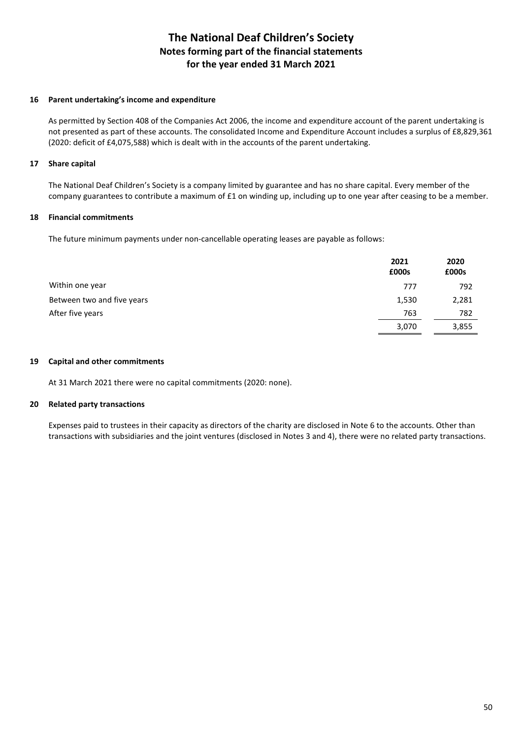#### **16 Parent undertaking's income and expenditure**

 As permitted by Section 408 of the Companies Act 2006, the income and expenditure account of the parent undertaking is not presented as part of these accounts. The consolidated Income and Expenditure Account includes a surplus of £8,829,361 (2020: deficit of £4,075,588) which is dealt with in the accounts of the parent undertaking.

### **17 Share capital**

 The National Deaf Children's Society is a company limited by guarantee and has no share capital. Every member of the company guarantees to contribute a maximum of £1 on winding up, including up to one year after ceasing to be a member.

### **18 Financial commitments**

The future minimum payments under non-cancellable operating leases are payable as follows:

|                            | 2021<br>£000s | 2020<br>£000s |
|----------------------------|---------------|---------------|
| Within one year            | 777           | 792           |
| Between two and five years | 1,530         | 2,281         |
| After five years           | 763           | 782           |
|                            | 3,070         | 3,855         |

#### **19 Capital and other commitments**

At 31 March 2021 there were no capital commitments (2020: none).

#### **20 Related party transactions**

 Expenses paid to trustees in their capacity as directors of the charity are disclosed in Note 6 to the accounts. Other than transactions with subsidiaries and the joint ventures (disclosed in Notes 3 and 4), there were no related party transactions.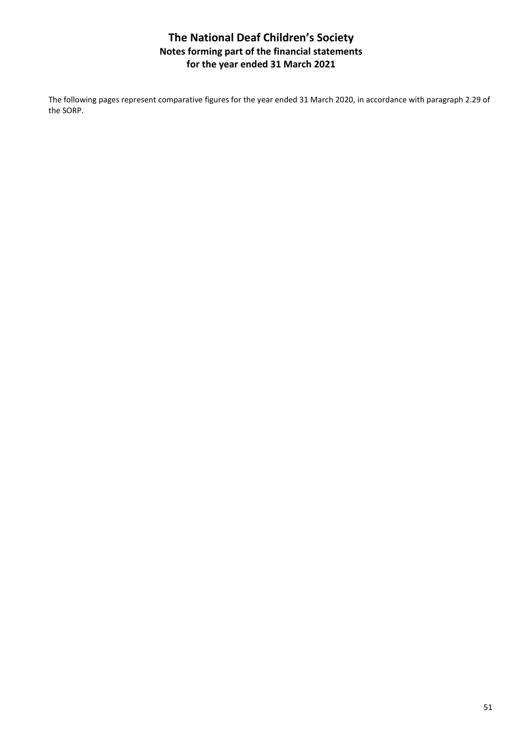The following pages represent comparative figures for the year ended 31 March 2020, in accordance with paragraph 2.29 of the SORP.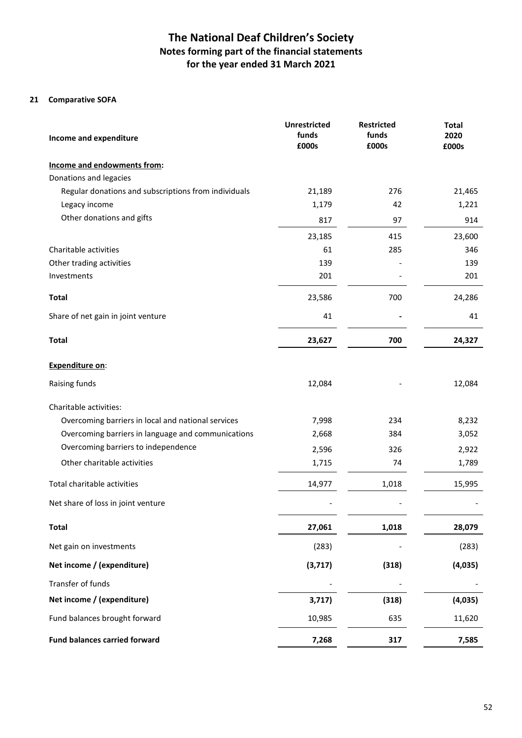### **21 Comparative SOFA**

| Income and expenditure                               | <b>Unrestricted</b><br>funds<br>£000s | <b>Restricted</b><br>funds<br>£000s | <b>Total</b><br>2020<br>£000s |
|------------------------------------------------------|---------------------------------------|-------------------------------------|-------------------------------|
| Income and endowments from:                          |                                       |                                     |                               |
| Donations and legacies                               |                                       |                                     |                               |
| Regular donations and subscriptions from individuals | 21,189                                | 276                                 | 21,465                        |
| Legacy income                                        | 1,179                                 | 42                                  | 1,221                         |
| Other donations and gifts                            | 817                                   | 97                                  | 914                           |
|                                                      | 23,185                                | 415                                 | 23,600                        |
| Charitable activities                                | 61                                    | 285                                 | 346                           |
| Other trading activities                             | 139                                   |                                     | 139                           |
| Investments                                          | 201                                   |                                     | 201                           |
| <b>Total</b>                                         | 23,586                                | 700                                 | 24,286                        |
| Share of net gain in joint venture                   | 41                                    |                                     | 41                            |
| <b>Total</b>                                         | 23,627                                | 700                                 | 24,327                        |
| <b>Expenditure on:</b>                               |                                       |                                     |                               |
| Raising funds                                        | 12,084                                |                                     | 12,084                        |
| Charitable activities:                               |                                       |                                     |                               |
| Overcoming barriers in local and national services   | 7,998                                 | 234                                 | 8,232                         |
| Overcoming barriers in language and communications   | 2,668                                 | 384                                 | 3,052                         |
| Overcoming barriers to independence                  | 2,596                                 | 326                                 | 2,922                         |
| Other charitable activities                          | 1,715                                 | 74                                  | 1,789                         |
| Total charitable activities                          | 14,977                                | 1,018                               | 15,995                        |
| Net share of loss in joint venture                   |                                       |                                     |                               |
| <b>Total</b>                                         | 27,061                                | 1,018                               | 28,079                        |
| Net gain on investments                              | (283)                                 |                                     | (283)                         |
| Net income / (expenditure)                           | (3,717)                               | (318)                               | (4,035)                       |
| Transfer of funds                                    |                                       |                                     |                               |
| Net income / (expenditure)                           | 3,717)                                | (318)                               | (4,035)                       |
| Fund balances brought forward                        | 10,985                                | 635                                 | 11,620                        |
| <b>Fund balances carried forward</b>                 | 7,268                                 | 317                                 | 7,585                         |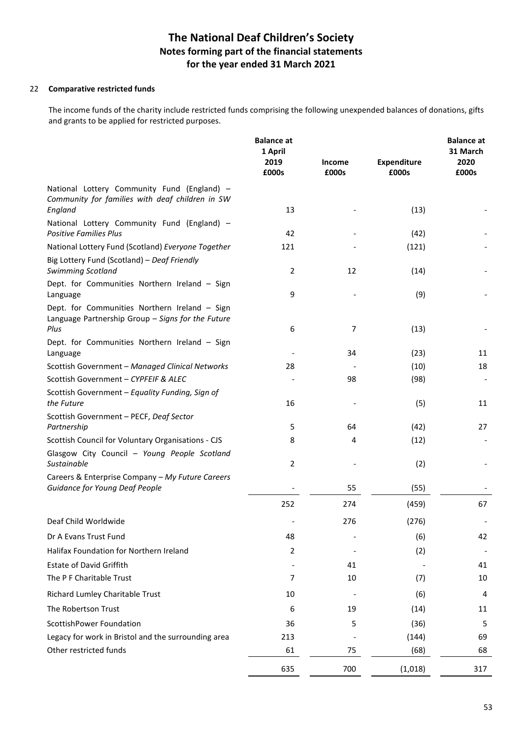#### 22 **Comparative restricted funds**

 The income funds of the charity include restricted funds comprising the following unexpended balances of donations, gifts and grants to be applied for restricted purposes.

|                                                                                                    | <b>Balance at</b><br>1 April<br>2019<br>£000s | Income<br>£000s | <b>Expenditure</b><br>£000s | <b>Balance at</b><br>31 March<br>2020<br>£000s |
|----------------------------------------------------------------------------------------------------|-----------------------------------------------|-----------------|-----------------------------|------------------------------------------------|
| National Lottery Community Fund (England) -                                                        |                                               |                 |                             |                                                |
| Community for families with deaf children in SW<br>England                                         | 13                                            |                 | (13)                        |                                                |
| National Lottery Community Fund (England) -<br><b>Positive Families Plus</b>                       | 42                                            |                 | (42)                        |                                                |
| National Lottery Fund (Scotland) Everyone Together                                                 | 121                                           |                 | (121)                       |                                                |
| Big Lottery Fund (Scotland) - Deaf Friendly<br>Swimming Scotland                                   | 2                                             | 12              | (14)                        |                                                |
| Dept. for Communities Northern Ireland - Sign<br>Language                                          | 9                                             |                 | (9)                         |                                                |
| Dept. for Communities Northern Ireland - Sign<br>Language Partnership Group - Signs for the Future |                                               |                 |                             |                                                |
| Plus                                                                                               | 6                                             | 7               | (13)                        |                                                |
| Dept. for Communities Northern Ireland - Sign                                                      |                                               |                 |                             |                                                |
| Language                                                                                           |                                               | 34              | (23)                        | 11                                             |
| Scottish Government - Managed Clinical Networks                                                    | 28                                            |                 | (10)                        | 18                                             |
| Scottish Government - CYPFEIF & ALEC                                                               |                                               | 98              | (98)                        |                                                |
| Scottish Government - Equality Funding, Sign of<br>the Future                                      | 16                                            |                 | (5)                         | 11                                             |
| Scottish Government - PECF, Deaf Sector<br>Partnership                                             | 5                                             | 64              | (42)                        | 27                                             |
| Scottish Council for Voluntary Organisations - CJS                                                 | 8                                             | 4               | (12)                        |                                                |
| Glasgow City Council - Young People Scotland<br>Sustainable                                        | 2                                             |                 | (2)                         |                                                |
| Careers & Enterprise Company - My Future Careers                                                   |                                               |                 |                             |                                                |
| Guidance for Young Deaf People                                                                     |                                               | 55              | (55)                        |                                                |
|                                                                                                    | 252                                           | 274             | (459)                       | 67                                             |
| Deaf Child Worldwide                                                                               |                                               | 276             | (276)                       |                                                |
| Dr A Evans Trust Fund                                                                              | 48                                            |                 | (6)                         | 42                                             |
| Halifax Foundation for Northern Ireland                                                            | 2                                             |                 | (2)                         |                                                |
| <b>Estate of David Griffith</b>                                                                    |                                               | 41              |                             | 41                                             |
| The P F Charitable Trust                                                                           | 7                                             | 10              | (7)                         | 10                                             |
| Richard Lumley Charitable Trust                                                                    | 10                                            |                 | (6)                         | 4                                              |
| The Robertson Trust                                                                                | 6                                             | 19              | (14)                        | 11                                             |
| ScottishPower Foundation                                                                           | 36                                            | 5               | (36)                        | 5                                              |
| Legacy for work in Bristol and the surrounding area                                                | 213                                           |                 | (144)                       | 69                                             |
| Other restricted funds                                                                             | 61                                            | 75              | (68)                        | 68                                             |
|                                                                                                    | 635                                           | 700             | (1,018)                     | 317                                            |